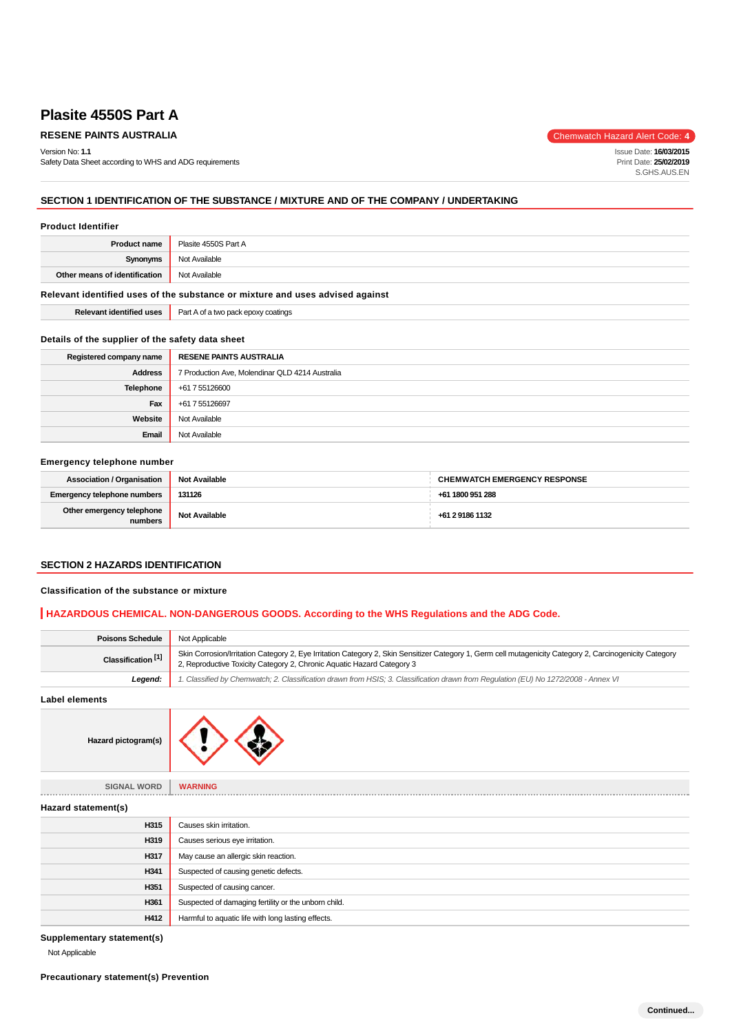# **RESENE PAINTS AUSTRALIA** Chemwatch Hazard Alert Code: 4

Version No: **1.1** Safety Data Sheet according to WHS and ADG requirements

Issue Date: **16/03/2015** Print Date: **25/02/2019** S.GHS.AUS.EN

# **SECTION 1 IDENTIFICATION OF THE SUBSTANCE / MIXTURE AND OF THE COMPANY / UNDERTAKING**

#### **Product Identifier**

| <b>Product name</b>                                                           | Plasite 4550S Part A |
|-------------------------------------------------------------------------------|----------------------|
| Synonyms                                                                      | Not Available        |
| Other means of identification                                                 | Not Available        |
| Relevant identified uses of the substance or mixture and uses advised against |                      |

# **Details of the supplier of the safety data sheet**

**Relevant identified uses Part A of a two pack epoxy coatings** 

| Registered company name | <b>RESENE PAINTS AUSTRALIA</b>                  |
|-------------------------|-------------------------------------------------|
| <b>Address</b>          | 7 Production Ave, Molendinar QLD 4214 Australia |
| Telephone               | +61 7 55126600                                  |
| Fax                     | +61 7 55126697                                  |
| Website                 | Not Available                                   |
| Email                   | Not Available                                   |

#### **Emergency telephone number**

| <b>Association / Organisation</b>    | <b>Not Available</b> | <b>CHEMWATCH EMERGENCY RESPONSE</b> |
|--------------------------------------|----------------------|-------------------------------------|
| <b>Emergency telephone numbers</b>   | 131126               | +61 1800 951 288                    |
| Other emergency telephone<br>numbers | Not Available        | +61 2 9186 1132                     |

#### **SECTION 2 HAZARDS IDENTIFICATION**

#### **Classification of the substance or mixture**

# **HAZARDOUS CHEMICAL. NON-DANGEROUS GOODS. According to the WHS Regulations and the ADG Code.**

| <b>Poisons Schedule</b>       | Not Applicable                                                                                                                                                                                                                     |  |
|-------------------------------|------------------------------------------------------------------------------------------------------------------------------------------------------------------------------------------------------------------------------------|--|
| Classification <sup>[1]</sup> | Skin Corrosion/Irritation Category 2, Eye Irritation Category 2, Skin Sensitizer Category 1, Germ cell mutagenicity Category 2, Carcinogenicity Category<br>2, Reproductive Toxicity Category 2, Chronic Aquatic Hazard Category 3 |  |
| Legend:                       | 1. Classified by Chemwatch; 2. Classification drawn from HSIS; 3. Classification drawn from Regulation (EU) No 1272/2008 - Annex VI                                                                                                |  |
| <b>Label elements</b>         |                                                                                                                                                                                                                                    |  |
| Hazard pictogram(s)           |                                                                                                                                                                                                                                    |  |
| <b>SIGNAL WORD</b>            | <b>WARNING</b>                                                                                                                                                                                                                     |  |
| Hazard statement(s)           |                                                                                                                                                                                                                                    |  |
| H315                          | Causes skin irritation.                                                                                                                                                                                                            |  |
| H319                          | Causes serious eye irritation.                                                                                                                                                                                                     |  |
| H317                          | May cause an allergic skin reaction.                                                                                                                                                                                               |  |
| H341                          | Suspected of causing genetic defects.                                                                                                                                                                                              |  |
| H351                          | Suspected of causing cancer.                                                                                                                                                                                                       |  |
| H361                          | Suspected of damaging fertility or the unborn child.                                                                                                                                                                               |  |
| H412                          | Harmful to aquatic life with long lasting effects.                                                                                                                                                                                 |  |

### **Supplementary statement(s)**

Not Applicable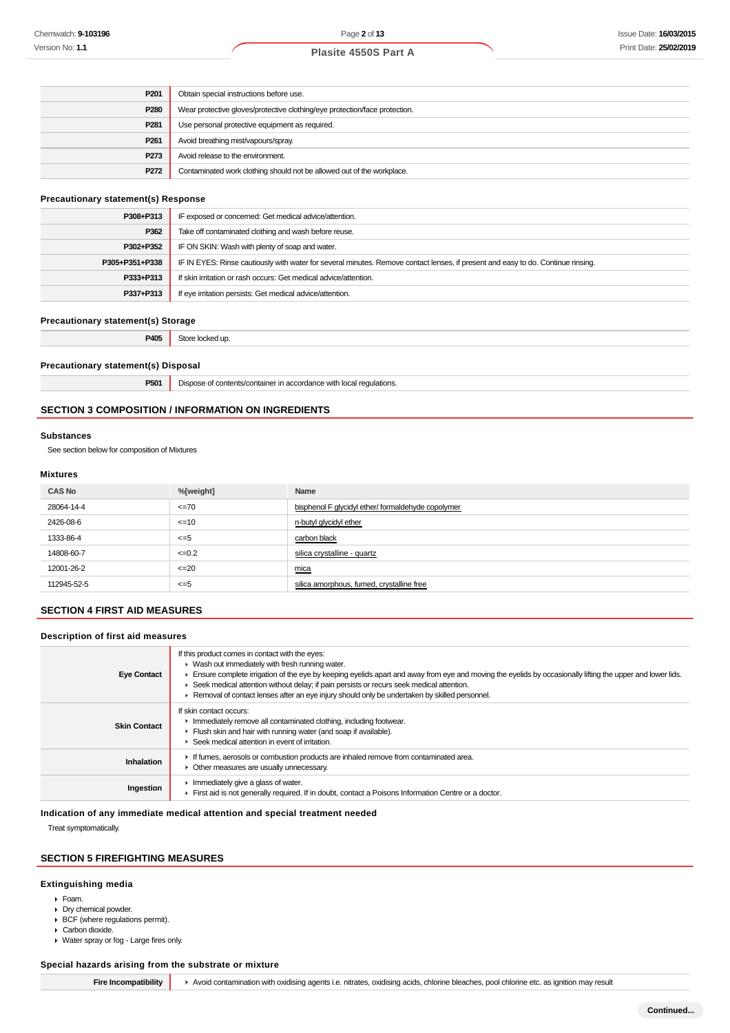| P <sub>201</sub> | Obtain special instructions before use.                                    |
|------------------|----------------------------------------------------------------------------|
| P <sub>280</sub> | Wear protective gloves/protective clothing/eye protection/face protection. |
| P <sub>281</sub> | Use personal protective equipment as required.                             |
| P <sub>261</sub> | Avoid breathing mist/vapours/spray.                                        |
| P273             | Avoid release to the environment.                                          |
| P272             | Contaminated work clothing should not be allowed out of the workplace.     |
|                  |                                                                            |

#### **Precautionary statement(s) Response**

| P308+P313      | IF exposed or concerned: Get medical advice/attention.                                                                           |
|----------------|----------------------------------------------------------------------------------------------------------------------------------|
| P362           | Take off contaminated clothing and wash before reuse.                                                                            |
| P302+P352      | IF ON SKIN: Wash with plenty of soap and water.                                                                                  |
| P305+P351+P338 | IF IN EYES: Rinse cautiously with water for several minutes. Remove contact lenses, if present and easy to do. Continue rinsing. |
| P333+P313      | If skin irritation or rash occurs: Get medical advice/attention.                                                                 |
| P337+P313      | If eye irritation persists: Get medical advice/attention.                                                                        |

#### **Precautionary statement(s) Storage**

**P405** Store locked up.

#### **Precautionary statement(s) Disposal**

**P501** Dispose of contents/container in accordance with local regulations.

# **SECTION 3 COMPOSITION / INFORMATION ON INGREDIENTS**

#### **Substances**

See section below for composition of Mixtures

#### **Mixtures**

| %[weight]  | Name                                              |
|------------|---------------------------------------------------|
| $=70$      | bisphenol F glycidyl ether/formaldehyde copolymer |
| $=10$      | n-butyl glycidyl ether                            |
| $\leq$ =5  | carbon black                                      |
| $\leq 0.2$ | silica crystalline - quartz                       |
| $\leq$ -20 | mica                                              |
| $\leq$ =5  | silica amorphous, fumed, crystalline free         |
|            |                                                   |

# **SECTION 4 FIRST AID MEASURES**

#### **Description of first aid measures**

| <b>Eye Contact</b>  | If this product comes in contact with the eyes:<br>• Wash out immediately with fresh running water.<br>Ensure complete irrigation of the eye by keeping eyelids apart and away from eye and moving the eyelids by occasionally lifting the upper and lower lids.<br>► Seek medical attention without delay; if pain persists or recurs seek medical attention.<br>▶ Removal of contact lenses after an eye injury should only be undertaken by skilled personnel. |
|---------------------|-------------------------------------------------------------------------------------------------------------------------------------------------------------------------------------------------------------------------------------------------------------------------------------------------------------------------------------------------------------------------------------------------------------------------------------------------------------------|
| <b>Skin Contact</b> | If skin contact occurs:<br>Inmediately remove all contaminated clothing, including footwear.<br>Flush skin and hair with running water (and soap if available).<br>Seek medical attention in event of irritation.                                                                                                                                                                                                                                                 |
| Inhalation          | If fumes, aerosols or combustion products are inhaled remove from contaminated area.<br>• Other measures are usually unnecessary.                                                                                                                                                                                                                                                                                                                                 |
| Ingestion           | $\blacktriangleright$ Immediately give a glass of water.<br>First aid is not generally required. If in doubt, contact a Poisons Information Centre or a doctor.                                                                                                                                                                                                                                                                                                   |

#### **Indication of any immediate medical attention and special treatment needed**

Treat symptomatically.

### **SECTION 5 FIREFIGHTING MEASURES**

#### **Extinguishing media**

- Foam.
- Dry chemical powder.
- BCF (where regulations permit).
- ▶ Carbon dioxide.
- Water spray or fog Large fires only.

### **Special hazards arising from the substrate or mixture**

**Fire Incompatibility**  $\rightarrow$  Avoid contamination with oxidising agents i.e. nitrates, oxidising acids, chlorine bleaches, pool chlorine etc. as ignition may result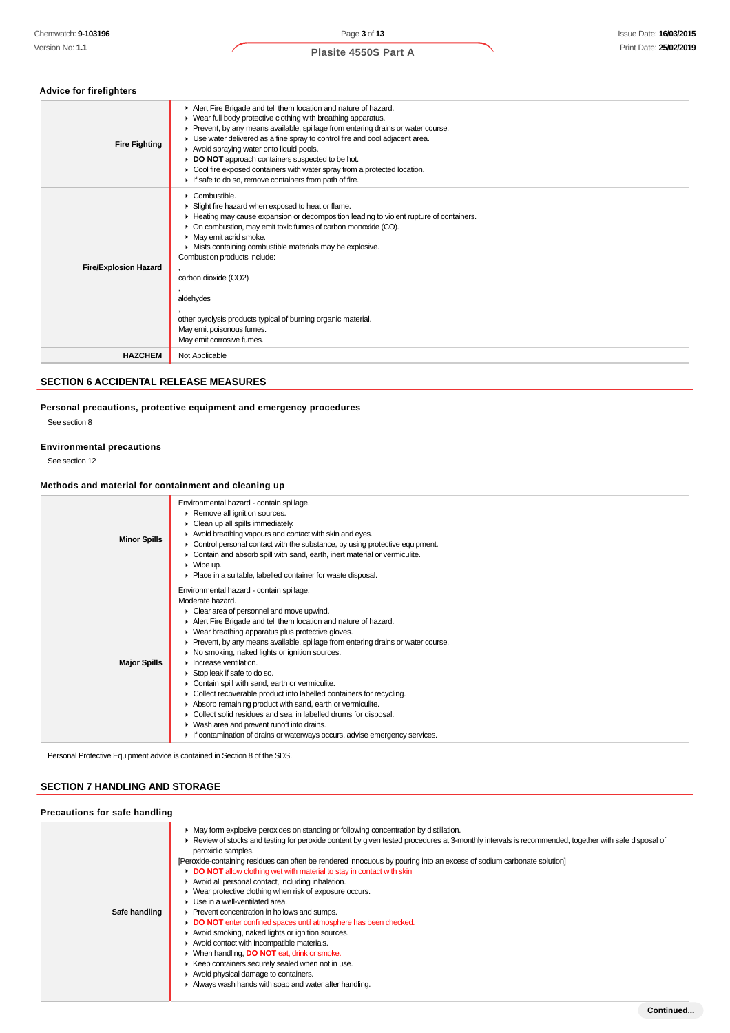# **Advice for firefighters**

| Alert Fire Brigade and tell them location and nature of hazard.<br>• Wear full body protective clothing with breathing apparatus.<br>▶ Prevent, by any means available, spillage from entering drains or water course.<br>• Use water delivered as a fine spray to control fire and cool adjacent area.<br><b>Fire Fighting</b><br>Avoid spraying water onto liquid pools.<br>DO NOT approach containers suspected to be hot.<br>Cool fire exposed containers with water spray from a protected location.<br>If safe to do so, remove containers from path of fire.<br>Combustible.<br>Slight fire hazard when exposed to heat or flame.<br>Heating may cause expansion or decomposition leading to violent rupture of containers.<br>• On combustion, may emit toxic fumes of carbon monoxide (CO).<br>• May emit acrid smoke.<br>Mists containing combustible materials may be explosive.<br>Combustion products include:<br><b>Fire/Explosion Hazard</b><br>carbon dioxide (CO2)<br>aldehydes<br>other pyrolysis products typical of burning organic material.<br>May emit poisonous fumes.<br>May emit corrosive fumes.<br>Not Applicable<br><b>HAZCHEM</b> |  |
|-----------------------------------------------------------------------------------------------------------------------------------------------------------------------------------------------------------------------------------------------------------------------------------------------------------------------------------------------------------------------------------------------------------------------------------------------------------------------------------------------------------------------------------------------------------------------------------------------------------------------------------------------------------------------------------------------------------------------------------------------------------------------------------------------------------------------------------------------------------------------------------------------------------------------------------------------------------------------------------------------------------------------------------------------------------------------------------------------------------------------------------------------------------------|--|
|                                                                                                                                                                                                                                                                                                                                                                                                                                                                                                                                                                                                                                                                                                                                                                                                                                                                                                                                                                                                                                                                                                                                                                 |  |
|                                                                                                                                                                                                                                                                                                                                                                                                                                                                                                                                                                                                                                                                                                                                                                                                                                                                                                                                                                                                                                                                                                                                                                 |  |
|                                                                                                                                                                                                                                                                                                                                                                                                                                                                                                                                                                                                                                                                                                                                                                                                                                                                                                                                                                                                                                                                                                                                                                 |  |

# **SECTION 6 ACCIDENTAL RELEASE MEASURES**

**Personal precautions, protective equipment and emergency procedures**

See section 8

#### **Environmental precautions**

See section 12

### **Methods and material for containment and cleaning up**

| <b>Minor Spills</b> | Environmental hazard - contain spillage.<br>Remove all ignition sources.<br>Clean up all spills immediately.<br>Avoid breathing vapours and contact with skin and eyes.<br>$\triangleright$ Control personal contact with the substance, by using protective equipment.<br>Contain and absorb spill with sand, earth, inert material or vermiculite.<br>$\triangleright$ Wipe up.<br>• Place in a suitable, labelled container for waste disposal.                                                                                                                                                                                                                                                                                                                                                                          |
|---------------------|-----------------------------------------------------------------------------------------------------------------------------------------------------------------------------------------------------------------------------------------------------------------------------------------------------------------------------------------------------------------------------------------------------------------------------------------------------------------------------------------------------------------------------------------------------------------------------------------------------------------------------------------------------------------------------------------------------------------------------------------------------------------------------------------------------------------------------|
| <b>Major Spills</b> | Environmental hazard - contain spillage.<br>Moderate hazard.<br>Clear area of personnel and move upwind.<br>Alert Fire Brigade and tell them location and nature of hazard.<br>• Wear breathing apparatus plus protective gloves.<br>▶ Prevent, by any means available, spillage from entering drains or water course.<br>• No smoking, naked lights or ignition sources.<br>Increase ventilation.<br>Stop leak if safe to do so.<br>Contain spill with sand, earth or vermiculite.<br>• Collect recoverable product into labelled containers for recycling.<br>Absorb remaining product with sand, earth or vermiculite.<br>• Collect solid residues and seal in labelled drums for disposal.<br>• Wash area and prevent runoff into drains.<br>If contamination of drains or waterways occurs, advise emergency services. |

Personal Protective Equipment advice is contained in Section 8 of the SDS.

# **SECTION 7 HANDLING AND STORAGE**

| Precautions for safe handling |                                                                                                                                                                                                                                                                                                                                                                                                                                                                                                                                                                                                                                                                                                                                                                                                                                                                                                                                                                                                                                                                |  |
|-------------------------------|----------------------------------------------------------------------------------------------------------------------------------------------------------------------------------------------------------------------------------------------------------------------------------------------------------------------------------------------------------------------------------------------------------------------------------------------------------------------------------------------------------------------------------------------------------------------------------------------------------------------------------------------------------------------------------------------------------------------------------------------------------------------------------------------------------------------------------------------------------------------------------------------------------------------------------------------------------------------------------------------------------------------------------------------------------------|--|
| Safe handling                 | • May form explosive peroxides on standing or following concentration by distillation.<br>► Review of stocks and testing for peroxide content by given tested procedures at 3-monthly intervals is recommended, together with safe disposal of<br>peroxidic samples.<br>[Peroxide-containing residues can often be rendered innocuous by pouring into an excess of sodium carbonate solution]<br>DO NOT allow clothing wet with material to stay in contact with skin<br>Avoid all personal contact, including inhalation.<br>• Wear protective clothing when risk of exposure occurs.<br>• Use in a well-ventilated area.<br>▶ Prevent concentration in hollows and sumps.<br>DO NOT enter confined spaces until atmosphere has been checked.<br>Avoid smoking, naked lights or ignition sources.<br>Avoid contact with incompatible materials.<br>▶ When handling, <b>DO NOT</b> eat, drink or smoke.<br>▶ Keep containers securely sealed when not in use.<br>Avoid physical damage to containers.<br>Always wash hands with soap and water after handling. |  |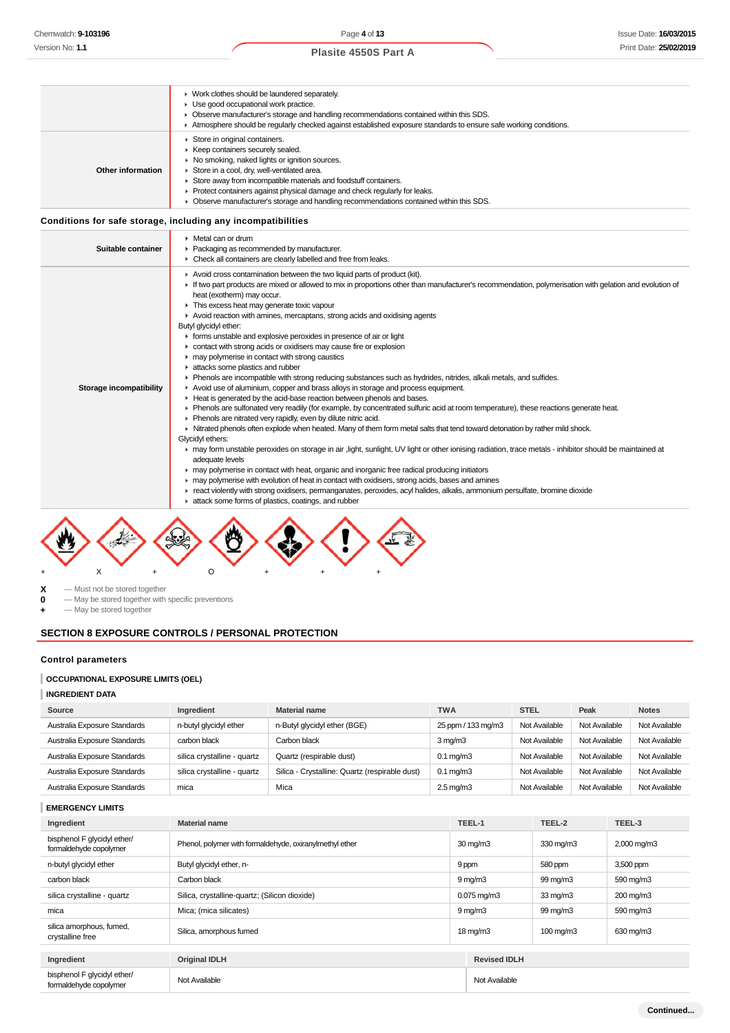|                   | • Work clothes should be laundered separately.<br>• Use good occupational work practice.<br>• Observe manufacturer's storage and handling recommendations contained within this SDS.                                                                                                                                                                                                                           |
|-------------------|----------------------------------------------------------------------------------------------------------------------------------------------------------------------------------------------------------------------------------------------------------------------------------------------------------------------------------------------------------------------------------------------------------------|
|                   | Atmosphere should be regularly checked against established exposure standards to ensure safe working conditions.                                                                                                                                                                                                                                                                                               |
| Other information | Store in original containers.<br>Keep containers securely sealed.<br>▶ No smoking, naked lights or ignition sources.<br>Store in a cool, dry, well-ventilated area.<br>Store away from incompatible materials and foodstuff containers.<br>Protect containers against physical damage and check regularly for leaks.<br>Observe manufacturer's storage and handling recommendations contained within this SDS. |

# **Conditions for safe storage, including any incompatibilities**

| Suitable container      | $\blacktriangleright$ Metal can or drum<br>• Packaging as recommended by manufacturer.<br>• Check all containers are clearly labelled and free from leaks.                                                                                                                                                                                                                                                                                                                                                                                                                                                                                                                                                                                                                                                                                                                                                                                                                                                                                                                                                                                                                                                                                                                                                                                                                                                                                                                                                                                                                                                                                                                                                                                                                                                                                                                                       |
|-------------------------|--------------------------------------------------------------------------------------------------------------------------------------------------------------------------------------------------------------------------------------------------------------------------------------------------------------------------------------------------------------------------------------------------------------------------------------------------------------------------------------------------------------------------------------------------------------------------------------------------------------------------------------------------------------------------------------------------------------------------------------------------------------------------------------------------------------------------------------------------------------------------------------------------------------------------------------------------------------------------------------------------------------------------------------------------------------------------------------------------------------------------------------------------------------------------------------------------------------------------------------------------------------------------------------------------------------------------------------------------------------------------------------------------------------------------------------------------------------------------------------------------------------------------------------------------------------------------------------------------------------------------------------------------------------------------------------------------------------------------------------------------------------------------------------------------------------------------------------------------------------------------------------------------|
| Storage incompatibility | Avoid cross contamination between the two liquid parts of product (kit).<br>If two part products are mixed or allowed to mix in proportions other than manufacturer's recommendation, polymerisation with gelation and evolution of<br>heat (exotherm) may occur.<br>This excess heat may generate toxic vapour<br>Avoid reaction with amines, mercaptans, strong acids and oxidising agents<br>Butyl glycidyl ether:<br>• forms unstable and explosive peroxides in presence of air or light<br>• contact with strong acids or oxidisers may cause fire or explosion<br>may polymerise in contact with strong caustics<br>attacks some plastics and rubber<br>Phenols are incompatible with strong reducing substances such as hydrides, nitrides, alkali metals, and sulfides.<br>Avoid use of aluminium, copper and brass alloys in storage and process equipment.<br>Heat is generated by the acid-base reaction between phenols and bases.<br>▶ Phenols are sulfonated very readily (for example, by concentrated sulfuric acid at room temperature), these reactions generate heat.<br>Phenols are nitrated very rapidly, even by dilute nitric acid.<br>In Nitrated phenols often explode when heated. Many of them form metal salts that tend toward detonation by rather mild shock.<br>Glycidyl ethers:<br>► may form unstable peroxides on storage in air, light, sunlight, UV light or other ionising radiation, trace metals - inhibitor should be maintained at<br>adequate levels<br>• may polymerise in contact with heat, organic and inorganic free radical producing initiators<br>► may polymerise with evolution of heat in contact with oxidisers, strong acids, bases and amines<br>F react violently with strong oxidisers, permanganates, peroxides, acyl halides, alkalis, ammonium persulfate, bromine dioxide<br>attack some forms of plastics, coatings, and rubber |



**X** — Must not be stored together<br>**0** — May be stored together with

**0** — May be stored together with specific preventions

**+** — May be stored together

# **SECTION 8 EXPOSURE CONTROLS / PERSONAL PROTECTION**

# **Control parameters**

### **OCCUPATIONAL EXPOSURE LIMITS (OEL)**

# **INGREDIENT DATA**

| Source                       | Ingredient                  | <b>Material name</b>                           | <b>TWA</b>           | <b>STEL</b>   | Peak          | <b>Notes</b>  |
|------------------------------|-----------------------------|------------------------------------------------|----------------------|---------------|---------------|---------------|
| Australia Exposure Standards | n-butyl glycidyl ether      | n-Butyl glycidyl ether (BGE)                   | 25 ppm / 133 mg/m3   | Not Available | Not Available | Not Available |
| Australia Exposure Standards | carbon black                | Carbon black                                   | $3 \,\mathrm{mq/m}$  | Not Available | Not Available | Not Available |
| Australia Exposure Standards | silica crystalline - quartz | Quartz (respirable dust)                       | $0.1 \text{ mg/m}$   | Not Available | Not Available | Not Available |
| Australia Exposure Standards | silica crystalline - quartz | Silica - Crystalline: Quartz (respirable dust) | $0.1 \text{ mg/m}$ 3 | Not Available | Not Available | Not Available |
| Australia Exposure Standards | mica                        | Mica                                           | $2.5 \text{ mg/m}$   | Not Available | Not Available | Not Available |

### **EMERGENCY LIMITS**

| Ingredient                                            | <b>Material name</b>                                    |               | TEEL-1                   | TEEL-2             | TEEL-3      |
|-------------------------------------------------------|---------------------------------------------------------|---------------|--------------------------|--------------------|-------------|
| bisphenol F glycidyl ether/<br>formaldehyde copolymer | Phenol, polymer with formaldehyde, oxiranylmethyl ether |               | $30 \text{ mg/m}$        | 330 mg/m3          | 2,000 mg/m3 |
| n-butyl glycidyl ether                                | Butyl glycidyl ether, n-                                | 9 ppm         |                          | 580 ppm            | 3,500 ppm   |
| carbon black                                          | Carbon black                                            |               | $9 \,\mathrm{mq/m}$      | 99 mg/m3           | 590 mg/m3   |
| silica crystalline - quartz                           | Silica, crystalline-quartz; (Silicon dioxide)           |               | $0.075 \,\mathrm{mg/m3}$ | $33 \text{ mg/m}$  | 200 mg/m3   |
| mica                                                  | Mica; (mica silicates)                                  |               | $9 \,\mathrm{mq/m}$      | 99 mg/m3           | 590 mg/m3   |
| silica amorphous, fumed,<br>crystalline free          | Silica, amorphous fumed                                 |               | $18 \text{ mg/m}$        | $100 \text{ mg/m}$ | 630 mg/m3   |
| Ingredient                                            | <b>Original IDLH</b>                                    |               | <b>Revised IDLH</b>      |                    |             |
|                                                       |                                                         |               |                          |                    |             |
| bisphenol F glycidyl ether/<br>formaldehyde copolymer | Not Available                                           | Not Available |                          |                    |             |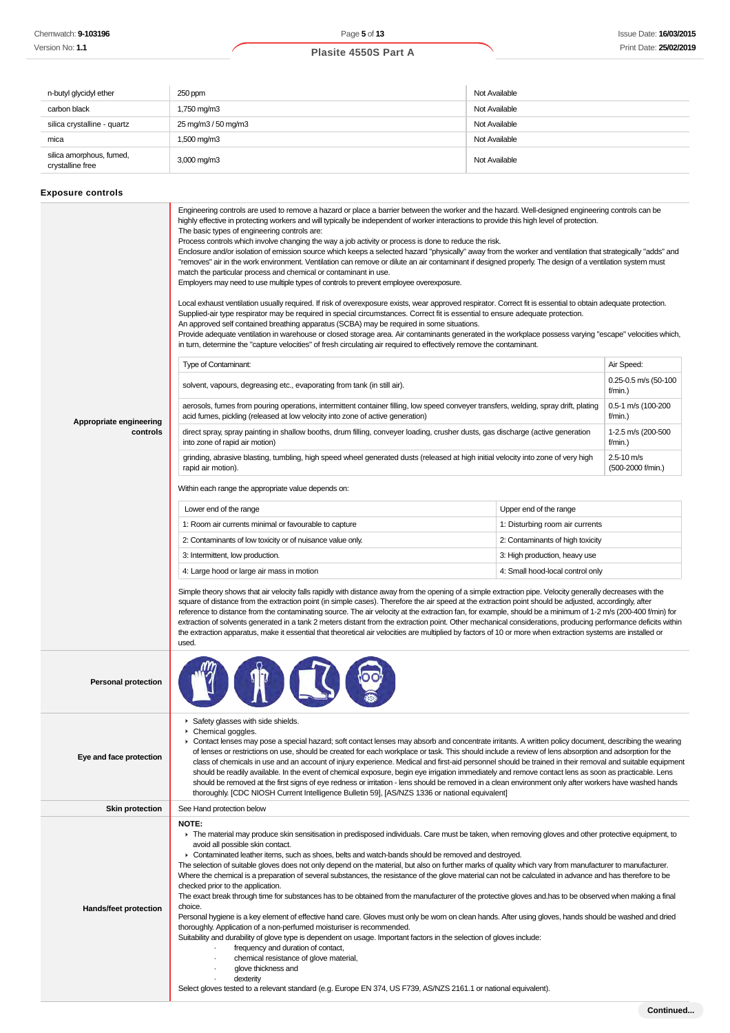| n-butyl glycidyl ether                       | 250 ppm                 | Not Available |
|----------------------------------------------|-------------------------|---------------|
| carbon black                                 | 1,750 mg/m3             | Not Available |
| silica crystalline - quartz                  | 25 mg/m3 / 50 mg/m3     | Not Available |
| mica                                         | 1,500 mg/m3             | Not Available |
| silica amorphous, fumed,<br>crystalline free | $3,000 \,\mathrm{mg/m}$ | Not Available |

# **Exposure controls**

|                            | Engineering controls are used to remove a hazard or place a barrier between the worker and the hazard. Well-designed engineering controls can be<br>highly effective in protecting workers and will typically be independent of worker interactions to provide this high level of protection.<br>The basic types of engineering controls are:<br>Process controls which involve changing the way a job activity or process is done to reduce the risk.<br>Enclosure and/or isolation of emission source which keeps a selected hazard "physically" away from the worker and ventilation that strategically "adds" and<br>"removes" air in the work environment. Ventilation can remove or dilute an air contaminant if designed properly. The design of a ventilation system must<br>match the particular process and chemical or contaminant in use.<br>Employers may need to use multiple types of controls to prevent employee overexposure.<br>Local exhaust ventilation usually required. If risk of overexposure exists, wear approved respirator. Correct fit is essential to obtain adequate protection.<br>Supplied-air type respirator may be required in special circumstances. Correct fit is essential to ensure adequate protection.<br>An approved self contained breathing apparatus (SCBA) may be required in some situations.<br>Provide adequate ventilation in warehouse or closed storage area. Air contaminants generated in the workplace possess varying "escape" velocities which,<br>in turn, determine the "capture velocities" of fresh circulating air required to effectively remove the contaminant. |                                  |                                     |  |
|----------------------------|-------------------------------------------------------------------------------------------------------------------------------------------------------------------------------------------------------------------------------------------------------------------------------------------------------------------------------------------------------------------------------------------------------------------------------------------------------------------------------------------------------------------------------------------------------------------------------------------------------------------------------------------------------------------------------------------------------------------------------------------------------------------------------------------------------------------------------------------------------------------------------------------------------------------------------------------------------------------------------------------------------------------------------------------------------------------------------------------------------------------------------------------------------------------------------------------------------------------------------------------------------------------------------------------------------------------------------------------------------------------------------------------------------------------------------------------------------------------------------------------------------------------------------------------------------------------------------------------------------------------------------------|----------------------------------|-------------------------------------|--|
|                            | Type of Contaminant:                                                                                                                                                                                                                                                                                                                                                                                                                                                                                                                                                                                                                                                                                                                                                                                                                                                                                                                                                                                                                                                                                                                                                                                                                                                                                                                                                                                                                                                                                                                                                                                                                |                                  |                                     |  |
|                            | solvent, vapours, degreasing etc., evaporating from tank (in still air).                                                                                                                                                                                                                                                                                                                                                                                                                                                                                                                                                                                                                                                                                                                                                                                                                                                                                                                                                                                                                                                                                                                                                                                                                                                                                                                                                                                                                                                                                                                                                            |                                  | 0.25-0.5 m/s (50-100<br>f/min.)     |  |
| Appropriate engineering    | aerosols, fumes from pouring operations, intermittent container filling, low speed conveyer transfers, welding, spray drift, plating<br>acid fumes, pickling (released at low velocity into zone of active generation)                                                                                                                                                                                                                                                                                                                                                                                                                                                                                                                                                                                                                                                                                                                                                                                                                                                                                                                                                                                                                                                                                                                                                                                                                                                                                                                                                                                                              |                                  | 0.5-1 m/s (100-200<br>f/min.)       |  |
| controls                   | direct spray, spray painting in shallow booths, drum filling, conveyer loading, crusher dusts, gas discharge (active generation<br>into zone of rapid air motion)                                                                                                                                                                                                                                                                                                                                                                                                                                                                                                                                                                                                                                                                                                                                                                                                                                                                                                                                                                                                                                                                                                                                                                                                                                                                                                                                                                                                                                                                   |                                  | 1-2.5 m/s (200-500<br>f/min.)       |  |
|                            | grinding, abrasive blasting, tumbling, high speed wheel generated dusts (released at high initial velocity into zone of very high<br>rapid air motion).                                                                                                                                                                                                                                                                                                                                                                                                                                                                                                                                                                                                                                                                                                                                                                                                                                                                                                                                                                                                                                                                                                                                                                                                                                                                                                                                                                                                                                                                             |                                  | $2.5 - 10$ m/s<br>(500-2000 f/min.) |  |
|                            | Within each range the appropriate value depends on:                                                                                                                                                                                                                                                                                                                                                                                                                                                                                                                                                                                                                                                                                                                                                                                                                                                                                                                                                                                                                                                                                                                                                                                                                                                                                                                                                                                                                                                                                                                                                                                 |                                  |                                     |  |
|                            | Lower end of the range                                                                                                                                                                                                                                                                                                                                                                                                                                                                                                                                                                                                                                                                                                                                                                                                                                                                                                                                                                                                                                                                                                                                                                                                                                                                                                                                                                                                                                                                                                                                                                                                              | Upper end of the range           |                                     |  |
|                            | 1: Room air currents minimal or favourable to capture                                                                                                                                                                                                                                                                                                                                                                                                                                                                                                                                                                                                                                                                                                                                                                                                                                                                                                                                                                                                                                                                                                                                                                                                                                                                                                                                                                                                                                                                                                                                                                               | 1: Disturbing room air currents  |                                     |  |
|                            | 2: Contaminants of low toxicity or of nuisance value only.                                                                                                                                                                                                                                                                                                                                                                                                                                                                                                                                                                                                                                                                                                                                                                                                                                                                                                                                                                                                                                                                                                                                                                                                                                                                                                                                                                                                                                                                                                                                                                          | 2: Contaminants of high toxicity |                                     |  |
|                            | 3: Intermittent, low production.                                                                                                                                                                                                                                                                                                                                                                                                                                                                                                                                                                                                                                                                                                                                                                                                                                                                                                                                                                                                                                                                                                                                                                                                                                                                                                                                                                                                                                                                                                                                                                                                    | 3: High production, heavy use    |                                     |  |
|                            | 4: Large hood or large air mass in motion                                                                                                                                                                                                                                                                                                                                                                                                                                                                                                                                                                                                                                                                                                                                                                                                                                                                                                                                                                                                                                                                                                                                                                                                                                                                                                                                                                                                                                                                                                                                                                                           | 4: Small hood-local control only |                                     |  |
|                            | Simple theory shows that air velocity falls rapidly with distance away from the opening of a simple extraction pipe. Velocity generally decreases with the<br>square of distance from the extraction point (in simple cases). Therefore the air speed at the extraction point should be adjusted, accordingly, after<br>reference to distance from the contaminating source. The air velocity at the extraction fan, for example, should be a minimum of 1-2 m/s (200-400 f/min) for<br>extraction of solvents generated in a tank 2 meters distant from the extraction point. Other mechanical considerations, producing performance deficits within<br>the extraction apparatus, make it essential that theoretical air velocities are multiplied by factors of 10 or more when extraction systems are installed or<br>used.                                                                                                                                                                                                                                                                                                                                                                                                                                                                                                                                                                                                                                                                                                                                                                                                      |                                  |                                     |  |
| <b>Personal protection</b> |                                                                                                                                                                                                                                                                                                                                                                                                                                                                                                                                                                                                                                                                                                                                                                                                                                                                                                                                                                                                                                                                                                                                                                                                                                                                                                                                                                                                                                                                                                                                                                                                                                     |                                  |                                     |  |
| Eye and face protection    | Safety glasses with side shields.<br>Chemical goggles.<br>▶ Contact lenses may pose a special hazard; soft contact lenses may absorb and concentrate irritants. A written policy document, describing the wearing<br>of lenses or restrictions on use, should be created for each workplace or task. This should include a review of lens absorption and adsorption for the<br>class of chemicals in use and an account of injury experience. Medical and first-aid personnel should be trained in their removal and suitable equipment<br>should be readily available. In the event of chemical exposure, begin eye irrigation immediately and remove contact lens as soon as practicable. Lens<br>should be removed at the first signs of eye redness or irritation - lens should be removed in a clean environment only after workers have washed hands<br>thoroughly. [CDC NIOSH Current Intelligence Bulletin 59], [AS/NZS 1336 or national equivalent]                                                                                                                                                                                                                                                                                                                                                                                                                                                                                                                                                                                                                                                                        |                                  |                                     |  |
| <b>Skin protection</b>     | See Hand protection below                                                                                                                                                                                                                                                                                                                                                                                                                                                                                                                                                                                                                                                                                                                                                                                                                                                                                                                                                                                                                                                                                                                                                                                                                                                                                                                                                                                                                                                                                                                                                                                                           |                                  |                                     |  |
| Hands/feet protection      | NOTE:<br>The material may produce skin sensitisation in predisposed individuals. Care must be taken, when removing gloves and other protective equipment, to<br>avoid all possible skin contact.<br>• Contaminated leather items, such as shoes, belts and watch-bands should be removed and destroyed.<br>The selection of suitable gloves does not only depend on the material, but also on further marks of quality which vary from manufacturer to manufacturer.<br>Where the chemical is a preparation of several substances, the resistance of the glove material can not be calculated in advance and has therefore to be<br>checked prior to the application.<br>The exact break through time for substances has to be obtained from the manufacturer of the protective gloves and has to be observed when making a final<br>choice.<br>Personal hygiene is a key element of effective hand care. Gloves must only be wom on clean hands. After using gloves, hands should be washed and dried<br>thoroughly. Application of a non-perfumed moisturiser is recommended.<br>Suitability and durability of glove type is dependent on usage. Important factors in the selection of gloves include:<br>frequency and duration of contact,<br>chemical resistance of glove material,<br>glove thickness and<br>dexterity<br>Select gloves tested to a relevant standard (e.g. Europe EN 374, US F739, AS/NZS 2161.1 or national equivalent).                                                                                                                                                                                    |                                  |                                     |  |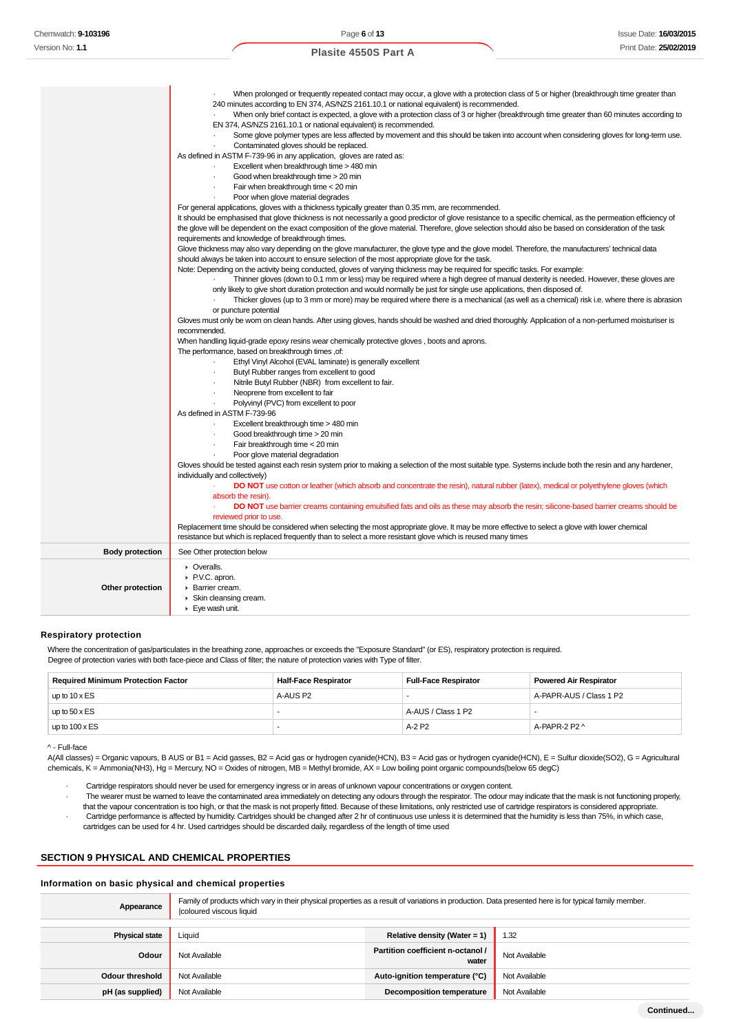|                        | When prolonged or frequently repeated contact may occur, a glove with a protection class of 5 or higher (breakthrough time greater than<br>240 minutes according to EN 374, AS/NZS 2161.10.1 or national equivalent) is recommended.<br>When only brief contact is expected, a glove with a protection class of 3 or higher (breakthrough time greater than 60 minutes according to<br>EN 374, AS/NZS 2161.10.1 or national equivalent) is recommended.<br>Some glove polymer types are less affected by movement and this should be taken into account when considering gloves for long-term use.<br>Contaminated gloves should be replaced.<br>As defined in ASTM F-739-96 in any application, gloves are rated as:<br>Excellent when breakthrough time > 480 min<br>Good when breakthrough time > 20 min<br>Fair when breakthrough time < 20 min<br>Poor when glove material degrades<br>For general applications, gloves with a thickness typically greater than 0.35 mm, are recommended.<br>It should be emphasised that glove thickness is not necessarily a good predictor of glove resistance to a specific chemical, as the permeation efficiency of<br>the glove will be dependent on the exact composition of the glove material. Therefore, glove selection should also be based on consideration of the task<br>requirements and knowledge of breakthrough times.<br>Glove thickness may also vary depending on the glove manufacturer, the glove type and the glove model. Therefore, the manufacturers' technical data<br>should always be taken into account to ensure selection of the most appropriate glove for the task.<br>Note: Depending on the activity being conducted, gloves of varying thickness may be required for specific tasks. For example:<br>Thinner gloves (down to 0.1 mm or less) may be required where a high degree of manual dexterity is needed. However, these gloves are<br>only likely to give short duration protection and would normally be just for single use applications, then disposed of.<br>Thicker gloves (up to 3 mm or more) may be required where there is a mechanical (as well as a chemical) risk i.e. where there is abrasion<br>or puncture potential<br>Gloves must only be wom on clean hands. After using gloves, hands should be washed and dried thoroughly. Application of a non-perfumed moisturiser is<br>recommended.<br>When handling liquid-grade epoxy resins wear chemically protective gloves, boots and aprons.<br>The performance, based on breakthrough times ,of:<br>Ethyl Vinyl Alcohol (EVAL laminate) is generally excellent<br>Butyl Rubber ranges from excellent to good<br>$\cdot$<br>Nitrile Butyl Rubber (NBR) from excellent to fair.<br>Neoprene from excellent to fair<br>Polyvinyl (PVC) from excellent to poor<br>As defined in ASTM F-739-96<br>Excellent breakthrough time > 480 min<br>$\cdot$<br>Good breakthrough time > 20 min<br>Fair breakthrough time < 20 min<br>Poor glove material degradation<br>Gloves should be tested against each resin system prior to making a selection of the most suitable type. Systems include both the resin and any hardener,<br>individually and collectively)<br>DO NOT use cotton or leather (which absorb and concentrate the resin), natural rubber (latex), medical or polyethylene gloves (which<br>absorb the resin). |
|------------------------|--------------------------------------------------------------------------------------------------------------------------------------------------------------------------------------------------------------------------------------------------------------------------------------------------------------------------------------------------------------------------------------------------------------------------------------------------------------------------------------------------------------------------------------------------------------------------------------------------------------------------------------------------------------------------------------------------------------------------------------------------------------------------------------------------------------------------------------------------------------------------------------------------------------------------------------------------------------------------------------------------------------------------------------------------------------------------------------------------------------------------------------------------------------------------------------------------------------------------------------------------------------------------------------------------------------------------------------------------------------------------------------------------------------------------------------------------------------------------------------------------------------------------------------------------------------------------------------------------------------------------------------------------------------------------------------------------------------------------------------------------------------------------------------------------------------------------------------------------------------------------------------------------------------------------------------------------------------------------------------------------------------------------------------------------------------------------------------------------------------------------------------------------------------------------------------------------------------------------------------------------------------------------------------------------------------------------------------------------------------------------------------------------------------------------------------------------------------------------------------------------------------------------------------------------------------------------------------------------------------------------------------------------------------------------------------------------------------------------------------------------------------------------------------------------------------------------------------------------------------------------------------------------------------------------------------------------------------------------------------------------------------------------------------------------------------------------------------------------------------------------------------------------------------------------------------------------------------------------------------------------------------------------------------------------------------------------------------------------------------------------|
|                        | DO NOT use barrier creams containing emulsified fats and oils as these may absorb the resin; silicone-based barrier creams should be<br>reviewed prior to use.<br>Replacement time should be considered when selecting the most appropriate glove. It may be more effective to select a glove with lower chemical                                                                                                                                                                                                                                                                                                                                                                                                                                                                                                                                                                                                                                                                                                                                                                                                                                                                                                                                                                                                                                                                                                                                                                                                                                                                                                                                                                                                                                                                                                                                                                                                                                                                                                                                                                                                                                                                                                                                                                                                                                                                                                                                                                                                                                                                                                                                                                                                                                                                                                                                                                                                                                                                                                                                                                                                                                                                                                                                                                                                                                                        |
|                        | resistance but which is replaced frequently than to select a more resistant glove which is reused many times                                                                                                                                                                                                                                                                                                                                                                                                                                                                                                                                                                                                                                                                                                                                                                                                                                                                                                                                                                                                                                                                                                                                                                                                                                                                                                                                                                                                                                                                                                                                                                                                                                                                                                                                                                                                                                                                                                                                                                                                                                                                                                                                                                                                                                                                                                                                                                                                                                                                                                                                                                                                                                                                                                                                                                                                                                                                                                                                                                                                                                                                                                                                                                                                                                                             |
| <b>Body protection</b> | See Other protection below                                                                                                                                                                                                                                                                                                                                                                                                                                                                                                                                                                                                                                                                                                                                                                                                                                                                                                                                                                                                                                                                                                                                                                                                                                                                                                                                                                                                                                                                                                                                                                                                                                                                                                                                                                                                                                                                                                                                                                                                                                                                                                                                                                                                                                                                                                                                                                                                                                                                                                                                                                                                                                                                                                                                                                                                                                                                                                                                                                                                                                                                                                                                                                                                                                                                                                                                               |
| Other protection       | • Overalls.<br>▶ P.V.C. apron.<br>Barrier cream.<br>Skin cleansing cream.<br>Eye wash unit.                                                                                                                                                                                                                                                                                                                                                                                                                                                                                                                                                                                                                                                                                                                                                                                                                                                                                                                                                                                                                                                                                                                                                                                                                                                                                                                                                                                                                                                                                                                                                                                                                                                                                                                                                                                                                                                                                                                                                                                                                                                                                                                                                                                                                                                                                                                                                                                                                                                                                                                                                                                                                                                                                                                                                                                                                                                                                                                                                                                                                                                                                                                                                                                                                                                                              |
|                        |                                                                                                                                                                                                                                                                                                                                                                                                                                                                                                                                                                                                                                                                                                                                                                                                                                                                                                                                                                                                                                                                                                                                                                                                                                                                                                                                                                                                                                                                                                                                                                                                                                                                                                                                                                                                                                                                                                                                                                                                                                                                                                                                                                                                                                                                                                                                                                                                                                                                                                                                                                                                                                                                                                                                                                                                                                                                                                                                                                                                                                                                                                                                                                                                                                                                                                                                                                          |

### **Respiratory protection**

Where the concentration of gas/particulates in the breathing zone, approaches or exceeds the "Exposure Standard" (or ES), respiratory protection is required. Degree of protection varies with both face-piece and Class of filter; the nature of protection varies with Type of filter.

| <b>Required Minimum Protection Factor</b> | <b>Half-Face Respirator</b> | Full-Face Respirator | <b>Powered Air Respirator</b> |
|-------------------------------------------|-----------------------------|----------------------|-------------------------------|
| up to $10 \times ES$                      | A-AUS P2                    |                      | A-PAPR-AUS / Class 1 P2       |
| up to $50 \times ES$                      |                             | A-AUS / Class 1 P2   |                               |
| up to $100 \times ES$                     |                             | A-2 P2               | A-PAPR-2 P2 ^                 |

^ - Full-face

A(All classes) = Organic vapours, B AUS or B1 = Acid gasses, B2 = Acid gas or hydrogen cyanide(HCN), B3 = Acid gas or hydrogen cyanide(HCN), E = Sulfur dioxide(SO2), G = Agricultural chemicals, K = Ammonia(NH3), Hg = Mercury, NO = Oxides of nitrogen, MB = Methyl bromide, AX = Low boiling point organic compounds(below 65 degC)

· Cartridge respirators should never be used for emergency ingress or in areas of unknown vapour concentrations or oxygen content.

· The wearer must be warned to leave the contaminated area immediately on detecting any odours through the respirator. The odour may indicate that the mask is not functioning properly, that the vapour concentration is too high, or that the mask is not properly fitted. Because of these limitations, only restricted use of cartridge respirators is considered appropriate. · Cartridge performance is affected by humidity. Cartridges should be changed after 2 hr of continuous use unless it is determined that the humidity is less than 75%, in which case, cartridges can be used for 4 hr. Used cartridges should be discarded daily, regardless of the length of time used

### **SECTION 9 PHYSICAL AND CHEMICAL PROPERTIES**

#### **Information on basic physical and chemical properties**

| Appearance            | Family of products which vary in their physical properties as a result of variations in production. Data presented here is for typical family member.<br>coloured viscous liquid |                                            |               |
|-----------------------|----------------------------------------------------------------------------------------------------------------------------------------------------------------------------------|--------------------------------------------|---------------|
| <b>Physical state</b> | Liquid                                                                                                                                                                           | Relative density (Water = 1)               | 1.32          |
| Odour                 | Not Available                                                                                                                                                                    | Partition coefficient n-octanol /<br>water | Not Available |
| Odour threshold       | Not Available                                                                                                                                                                    | Auto-ignition temperature (°C)             | Not Available |
| pH (as supplied)      | Not Available                                                                                                                                                                    | <b>Decomposition temperature</b>           | Not Available |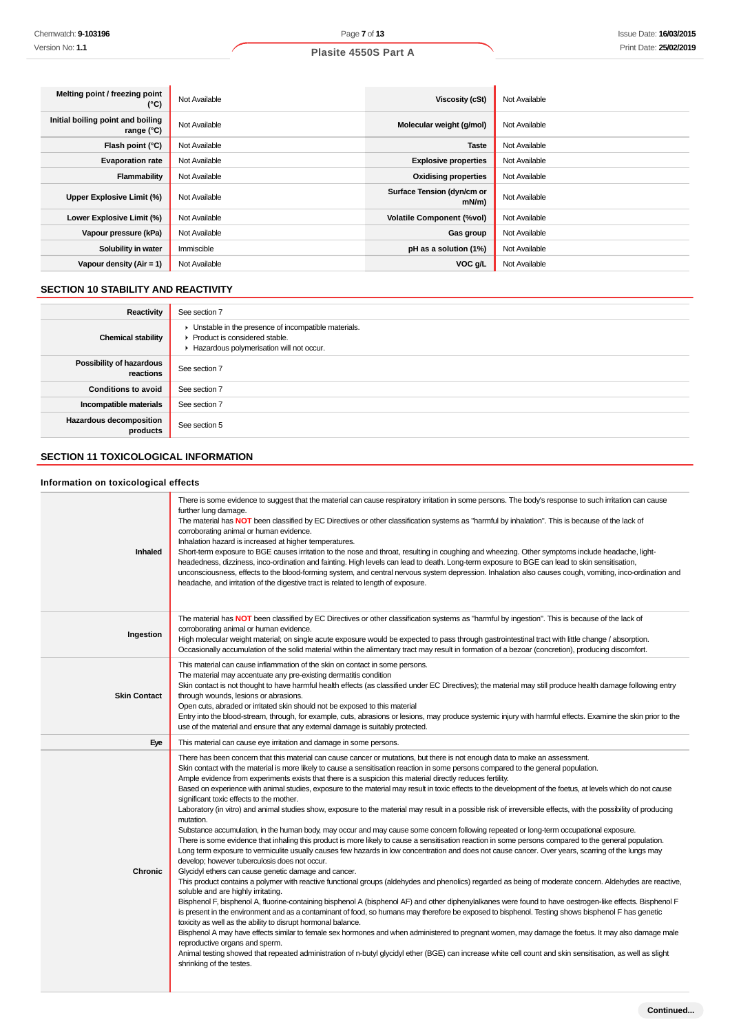| Melting point / freezing point<br>(°C)          | Not Available | Viscosity (cSt)                        | Not Available |
|-------------------------------------------------|---------------|----------------------------------------|---------------|
| Initial boiling point and boiling<br>range (°C) | Not Available | Molecular weight (g/mol)               | Not Available |
| Flash point $(°C)$                              | Not Available | <b>Taste</b>                           | Not Available |
| <b>Evaporation rate</b>                         | Not Available | <b>Explosive properties</b>            | Not Available |
| Flammability                                    | Not Available | <b>Oxidising properties</b>            | Not Available |
| Upper Explosive Limit (%)                       | Not Available | Surface Tension (dyn/cm or<br>$mN/m$ ) | Not Available |
| Lower Explosive Limit (%)                       | Not Available | <b>Volatile Component (%vol)</b>       | Not Available |
| Vapour pressure (kPa)                           | Not Available | Gas group                              | Not Available |
| Solubility in water                             | Immiscible    | pH as a solution (1%)                  | Not Available |
| Vapour density $(Air = 1)$                      | Not Available | VOC g/L                                | Not Available |

# **SECTION 10 STABILITY AND REACTIVITY**

| Reactivity                            | See section 7                                                                                                                        |
|---------------------------------------|--------------------------------------------------------------------------------------------------------------------------------------|
| <b>Chemical stability</b>             | • Unstable in the presence of incompatible materials.<br>▶ Product is considered stable.<br>Hazardous polymerisation will not occur. |
| Possibility of hazardous<br>reactions | See section 7                                                                                                                        |
| <b>Conditions to avoid</b>            | See section 7                                                                                                                        |
| Incompatible materials                | See section 7                                                                                                                        |
| Hazardous decomposition<br>products   | See section 5                                                                                                                        |

# **SECTION 11 TOXICOLOGICAL INFORMATION**

# **Information on toxicological effects**

| <b>Inhaled</b>      | There is some evidence to suggest that the material can cause respiratory irritation in some persons. The body's response to such irritation can cause<br>further lung damage.<br>The material has NOT been classified by EC Directives or other classification systems as "harmful by inhalation". This is because of the lack of<br>corroborating animal or human evidence.<br>Inhalation hazard is increased at higher temperatures.<br>Short-term exposure to BGE causes irritation to the nose and throat, resulting in coughing and wheezing. Other symptoms include headache, light-<br>headedness, dizziness, inco-ordination and fainting. High levels can lead to death. Long-term exposure to BGE can lead to skin sensitisation,<br>unconsciousness, effects to the blood-forming system, and central nervous system depression. Inhalation also causes cough, vomiting, inco-ordination and<br>headache, and irritation of the digestive tract is related to length of exposure.                                                                                                                                                                                                                                                                                                                                                                                                                                                                                                                                                                                                                                                                                                                                                                                                                                                                                                                                                                                                                                                                                                                                                                                                                                                                                                                             |
|---------------------|---------------------------------------------------------------------------------------------------------------------------------------------------------------------------------------------------------------------------------------------------------------------------------------------------------------------------------------------------------------------------------------------------------------------------------------------------------------------------------------------------------------------------------------------------------------------------------------------------------------------------------------------------------------------------------------------------------------------------------------------------------------------------------------------------------------------------------------------------------------------------------------------------------------------------------------------------------------------------------------------------------------------------------------------------------------------------------------------------------------------------------------------------------------------------------------------------------------------------------------------------------------------------------------------------------------------------------------------------------------------------------------------------------------------------------------------------------------------------------------------------------------------------------------------------------------------------------------------------------------------------------------------------------------------------------------------------------------------------------------------------------------------------------------------------------------------------------------------------------------------------------------------------------------------------------------------------------------------------------------------------------------------------------------------------------------------------------------------------------------------------------------------------------------------------------------------------------------------------------------------------------------------------------------------------------------------------|
| Ingestion           | The material has NOT been classified by EC Directives or other classification systems as "harmful by ingestion". This is because of the lack of<br>corroborating animal or human evidence.<br>High molecular weight material; on single acute exposure would be expected to pass through gastrointestinal tract with little change / absorption.<br>Occasionally accumulation of the solid material within the alimentary tract may result in formation of a bezoar (concretion), producing discomfort.                                                                                                                                                                                                                                                                                                                                                                                                                                                                                                                                                                                                                                                                                                                                                                                                                                                                                                                                                                                                                                                                                                                                                                                                                                                                                                                                                                                                                                                                                                                                                                                                                                                                                                                                                                                                                   |
| <b>Skin Contact</b> | This material can cause inflammation of the skin on contact in some persons.<br>The material may accentuate any pre-existing dermatitis condition<br>Skin contact is not thought to have harmful health effects (as classified under EC Directives); the material may still produce health damage following entry<br>through wounds, lesions or abrasions.<br>Open cuts, abraded or irritated skin should not be exposed to this material<br>Entry into the blood-stream, through, for example, cuts, abrasions or lesions, may produce systemic injury with harmful effects. Examine the skin prior to the<br>use of the material and ensure that any external damage is suitably protected.                                                                                                                                                                                                                                                                                                                                                                                                                                                                                                                                                                                                                                                                                                                                                                                                                                                                                                                                                                                                                                                                                                                                                                                                                                                                                                                                                                                                                                                                                                                                                                                                                             |
| Eye                 | This material can cause eye irritation and damage in some persons.                                                                                                                                                                                                                                                                                                                                                                                                                                                                                                                                                                                                                                                                                                                                                                                                                                                                                                                                                                                                                                                                                                                                                                                                                                                                                                                                                                                                                                                                                                                                                                                                                                                                                                                                                                                                                                                                                                                                                                                                                                                                                                                                                                                                                                                        |
| Chronic             | There has been concern that this material can cause cancer or mutations, but there is not enough data to make an assessment.<br>Skin contact with the material is more likely to cause a sensitisation reaction in some persons compared to the general population.<br>Ample evidence from experiments exists that there is a suspicion this material directly reduces fertility.<br>Based on experience with animal studies, exposure to the material may result in toxic effects to the development of the foetus, at levels which do not cause<br>significant toxic effects to the mother.<br>Laboratory (in vitro) and animal studies show, exposure to the material may result in a possible risk of irreversible effects, with the possibility of producing<br>mutation.<br>Substance accumulation, in the human body, may occur and may cause some concern following repeated or long-term occupational exposure.<br>There is some evidence that inhaling this product is more likely to cause a sensitisation reaction in some persons compared to the general population.<br>Long term exposure to vermiculite usually causes few hazards in low concentration and does not cause cancer. Over years, scarring of the lungs may<br>develop; however tuberculosis does not occur.<br>Glycidyl ethers can cause genetic damage and cancer.<br>This product contains a polymer with reactive functional groups (aldehydes and phenolics) regarded as being of moderate concern. Aldehydes are reactive,<br>soluble and are highly irritating.<br>Bisphenol F, bisphenol A, fluorine-containing bisphenol A (bisphenol AF) and other diphenylalkanes were found to have oestrogen-like effects. Bisphenol F<br>is present in the environment and as a contaminant of food, so humans may therefore be exposed to bisphenol. Testing shows bisphenol F has genetic<br>toxicity as well as the ability to disrupt hormonal balance.<br>Bisphenol A may have effects similar to female sex hormones and when administered to pregnant women, may damage the foetus. It may also damage male<br>reproductive organs and sperm.<br>Animal testing showed that repeated administration of n-butyl glycidyl ether (BGE) can increase white cell count and skin sensitisation, as well as slight<br>shrinking of the testes. |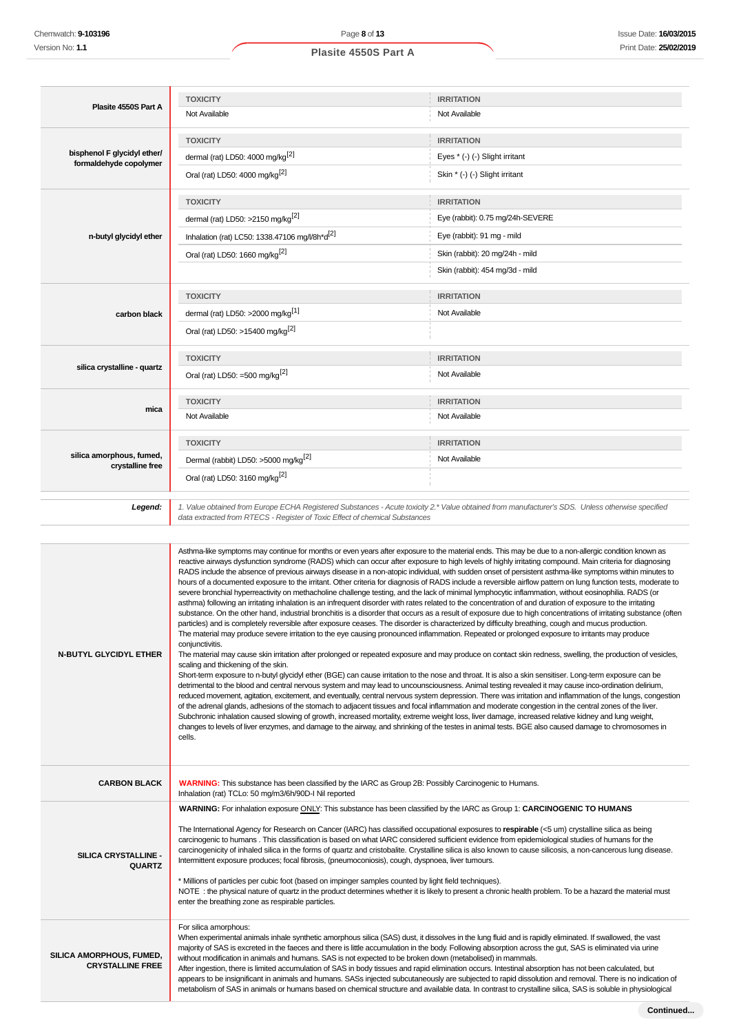# **Plasite 4550S Part A TOXICITY IRRITATION** Not Available Not Available Not Available **bisphenol F glycidyl ether/ formaldehyde copolymer TOXICITY IRRITATION** dermal (rat) LD50: 4000 mg/kg<sup>[2]</sup>  $Eyes * (-) (-)$  Slight irritant Oral (rat) LD50: 4000 mg/kg<sup>[2]</sup> Skin \* (-) (-) Slight irritant **n-butyl glycidyl ether TOXICITY IRRITATION** dermal (rat) LD50: >2150 mg/kg<sup>[2]</sup> exercise the state of the state of the state of the state of the state of the state of the state of the state of the state of the state of the state of the state of the state of the stat Inhalation (rat) LC50: 1338.47106 mg//8h\*d<sup>[2]</sup> Eye (rabbit): 91 mg - mild Oral (rat) LD50: 1660 mg/kg<sup>[2]</sup> Skin (rabbit): 20 mg/24h - mild Skin (rabbit): 454 mg/3d - mild **carbon black TOXICITY IRRITATION** dermal (rat) LD50: >2000 mg/kg<sup>[1]</sup> Not Available Oral (rat) LD50: >15400 mg/kg[2] **silica crystalline - quartz TOXICITY IRRITATION** Oral (rat) LD50: =500 mg/kg<sup>[2]</sup> Not Available **mica TOXICITY IRRITATION** Not Available Not Available **silica amorphous, fumed, crystalline free TOXICITY IRRITATION** Dermal (rabbit) LD50: >5000 mg/kg<sup>[2]</sup> Not Available Oral (rat) LD50: 3160 mg/kg[2] **Legend:** 1. Value obtained from Europe ECHA Registered Substances - Acute toxicity 2.\* Value obtained from manufacturer's SDS. Unless otherwise specified data extracted from RTECS - Register of Toxic Effect of chemical Substances

| Asthma-like symptoms may continue for months or even years after exposure to the material ends. This may be due to a non-allergic condition known as<br>reactive airways dysfunction syndrome (RADS) which can occur after exposure to high levels of highly irritating compound. Main criteria for diagnosing<br>RADS include the absence of previous airways disease in a non-atopic individual, with sudden onset of persistent asthma-like symptoms within minutes to<br>hours of a documented exposure to the irritant. Other criteria for diagnosis of RADS include a reversible airflow pattern on lung function tests, moderate to<br>severe bronchial hyperreactivity on methacholine challenge testing, and the lack of minimal lymphocytic inflammation, without eosinophilia. RADS (or<br>asthma) following an irritating inhalation is an infrequent disorder with rates related to the concentration of and duration of exposure to the irritating<br>substance. On the other hand, industrial bronchitis is a disorder that occurs as a result of exposure due to high concentrations of irritating substance (often<br>particles) and is completely reversible after exposure ceases. The disorder is characterized by difficulty breathing, cough and mucus production.<br>The material may produce severe irritation to the eye causing pronounced inflammation. Repeated or prolonged exposure to irritants may produce<br>conjunctivitis.<br>The material may cause skin irritation after prolonged or repeated exposure and may produce on contact skin redness, swelling, the production of vesicles,<br>scaling and thickening of the skin.<br>Short-term exposure to n-butyl glycidyl ether (BGE) can cause irritation to the nose and throat. It is also a skin sensitiser. Long-term exposure can be<br>detrimental to the blood and central nervous system and may lead to uncounsciousness. Animal testing revealed it may cause inco-ordination delirium,<br>reduced movement, agitation, excitement, and eventually, central nervous system depression. There was irritation and inflammation of the lungs, congestion<br>of the adrenal glands, adhesions of the stomach to adjacent tissues and focal inflammation and moderate congestion in the central zones of the liver.<br>Subchronic inhalation caused slowing of growth, increased mortality, extreme weight loss, liver damage, increased relative kidney and lung weight,<br>changes to levels of liver enzymes, and damage to the airway, and shrinking of the testes in animal tests. BGE also caused damage to chromosomes in<br>cells. |
|--------------------------------------------------------------------------------------------------------------------------------------------------------------------------------------------------------------------------------------------------------------------------------------------------------------------------------------------------------------------------------------------------------------------------------------------------------------------------------------------------------------------------------------------------------------------------------------------------------------------------------------------------------------------------------------------------------------------------------------------------------------------------------------------------------------------------------------------------------------------------------------------------------------------------------------------------------------------------------------------------------------------------------------------------------------------------------------------------------------------------------------------------------------------------------------------------------------------------------------------------------------------------------------------------------------------------------------------------------------------------------------------------------------------------------------------------------------------------------------------------------------------------------------------------------------------------------------------------------------------------------------------------------------------------------------------------------------------------------------------------------------------------------------------------------------------------------------------------------------------------------------------------------------------------------------------------------------------------------------------------------------------------------------------------------------------------------------------------------------------------------------------------------------------------------------------------------------------------------------------------------------------------------------------------------------------------------------------------------------------------------------------------------------------------------------------------------------------------------------------------------------------------------------------------------------------------------------------------------------------------------------|
| WARNING: This substance has been classified by the IARC as Group 2B: Possibly Carcinogenic to Humans.<br>Inhalation (rat) TCLo: 50 mg/m3/6h/90D-I Nil reported                                                                                                                                                                                                                                                                                                                                                                                                                                                                                                                                                                                                                                                                                                                                                                                                                                                                                                                                                                                                                                                                                                                                                                                                                                                                                                                                                                                                                                                                                                                                                                                                                                                                                                                                                                                                                                                                                                                                                                                                                                                                                                                                                                                                                                                                                                                                                                                                                                                                       |
| WARNING: For inhalation exposure ONLY: This substance has been classified by the IARC as Group 1: CARCINOGENIC TO HUMANS<br>The International Agency for Research on Cancer (IARC) has classified occupational exposures to respirable (<5 um) crystalline silica as being<br>carcinogenic to humans . This classification is based on what IARC considered sufficient evidence from epidemiological studies of humans for the<br>carcinogenicity of inhaled silica in the forms of quartz and cristobalite. Crystalline silica is also known to cause silicosis, a non-cancerous lung disease.<br>Intermittent exposure produces; focal fibrosis, (pneumoconiosis), cough, dyspnoea, liver tumours.<br>* Millions of particles per cubic foot (based on impinger samples counted by light field techniques).<br>NOTE: the physical nature of quartz in the product determines whether it is likely to present a chronic health problem. To be a hazard the material must<br>enter the breathing zone as respirable particles.                                                                                                                                                                                                                                                                                                                                                                                                                                                                                                                                                                                                                                                                                                                                                                                                                                                                                                                                                                                                                                                                                                                                                                                                                                                                                                                                                                                                                                                                                                                                                                                                       |
| For silica amorphous:<br>When experimental animals inhale synthetic amorphous silica (SAS) dust, it dissolves in the lung fluid and is rapidly eliminated. If swallowed, the vast<br>majority of SAS is excreted in the faeces and there is little accumulation in the body. Following absorption across the gut, SAS is eliminated via urine<br>without modification in animals and humans. SAS is not expected to be broken down (metabolised) in mammals.<br>After ingestion, there is limited accumulation of SAS in body tissues and rapid elimination occurs. Intestinal absorption has not been calculated, but<br>appears to be insignificant in animals and humans. SASs injected subcutaneously are subjected to rapid dissolution and removal. There is no indication of<br>metabolism of SAS in animals or humans based on chemical structure and available data. In contrast to crystalline silica, SAS is soluble in physiological                                                                                                                                                                                                                                                                                                                                                                                                                                                                                                                                                                                                                                                                                                                                                                                                                                                                                                                                                                                                                                                                                                                                                                                                                                                                                                                                                                                                                                                                                                                                                                                                                                                                                     |
|                                                                                                                                                                                                                                                                                                                                                                                                                                                                                                                                                                                                                                                                                                                                                                                                                                                                                                                                                                                                                                                                                                                                                                                                                                                                                                                                                                                                                                                                                                                                                                                                                                                                                                                                                                                                                                                                                                                                                                                                                                                                                                                                                                                                                                                                                                                                                                                                                                                                                                                                                                                                                                      |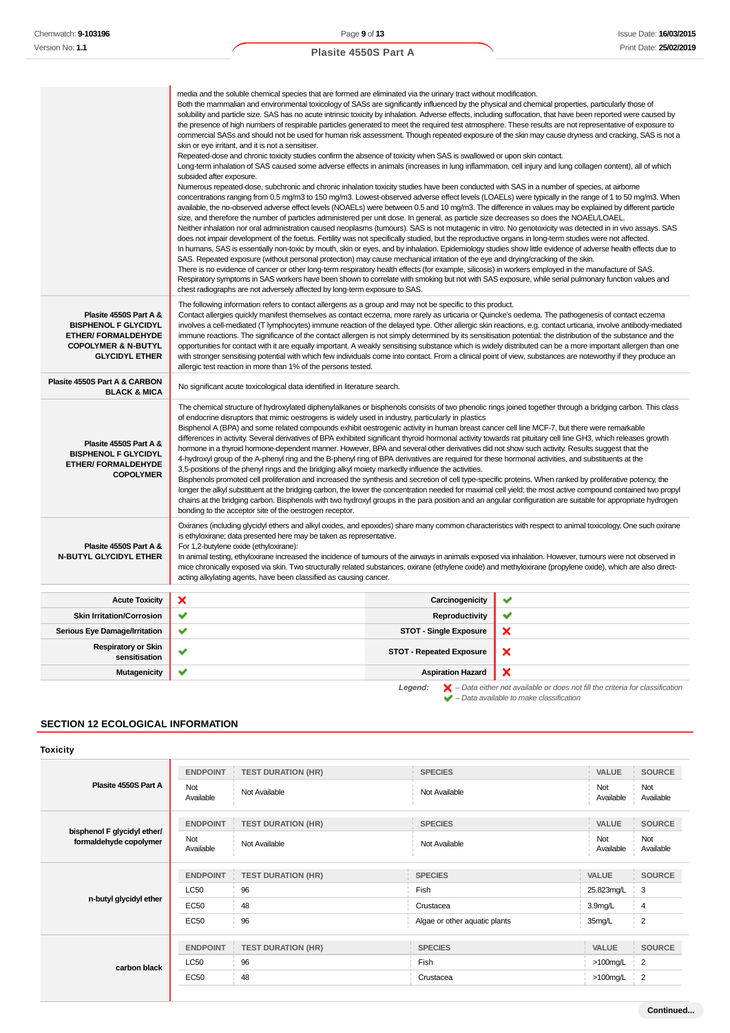|                                                                                                                                                | media and the soluble chemical species that are formed are eliminated via the urinary tract without modification.<br>Both the mammalian and environmental toxicology of SASs are significantly influenced by the physical and chemical properties, particularly those of<br>solubility and particle size. SAS has no acute intrinsic toxicity by inhalation. Adverse effects, including suffocation, that have been reported were caused by<br>the presence of high numbers of respirable particles generated to meet the required test atmosphere. These results are not representative of exposure to<br>skin or eye irritant, and it is not a sensitiser.<br>Repeated-dose and chronic toxicity studies confirm the absence of toxicity when SAS is swallowed or upon skin contact.<br>Long-term inhalation of SAS caused some adverse effects in animals (increases in lung inflammation, cell injury and lung collagen content), all of which<br>subsided after exposure.<br>Numerous repeated-dose, subchronic and chronic inhalation toxicity studies have been conducted with SAS in a number of species, at airborne<br>available, the no-observed adverse effect levels (NOAELs) were between 0.5 and 10 mg/m3. The difference in values may be explained by different particle<br>size, and therefore the number of particles administered per unit dose. In general, as particle size decreases so does the NOAEL/LOAEL.<br>Neither inhalation nor oral administration caused neoplasms (tumours). SAS is not mutagenic in vitro. No genotoxicity was detected in in vivo assays. SAS<br>does not impair development of the foetus. Fertility was not specifically studied, but the reproductive organs in long-term studies were not affected.<br>In humans, SAS is essentially non-toxic by mouth, skin or eyes, and by inhalation. Epidemiology studies show little evidence of adverse health effects due to<br>SAS. Repeated exposure (without personal protection) may cause mechanical irritation of the eye and drying/cracking of the skin.<br>There is no evidence of cancer or other long-term respiratory health effects (for example, silicosis) in workers employed in the manufacture of SAS.<br>Respiratory symptoms in SAS workers have been shown to correlate with smoking but not with SAS exposure, while serial pulmonary function values and<br>chest radiographs are not adversely affected by long-term exposure to SAS. |                                 | commercial SASs and should not be used for human risk assessment. Though repeated exposure of the skin may cause dryness and cracking, SAS is not a<br>concentrations ranging from 0.5 mg/m3 to 150 mg/m3. Lowest-observed adverse effect levels (LOAELs) were typically in the range of 1 to 50 mg/m3. When |
|------------------------------------------------------------------------------------------------------------------------------------------------|---------------------------------------------------------------------------------------------------------------------------------------------------------------------------------------------------------------------------------------------------------------------------------------------------------------------------------------------------------------------------------------------------------------------------------------------------------------------------------------------------------------------------------------------------------------------------------------------------------------------------------------------------------------------------------------------------------------------------------------------------------------------------------------------------------------------------------------------------------------------------------------------------------------------------------------------------------------------------------------------------------------------------------------------------------------------------------------------------------------------------------------------------------------------------------------------------------------------------------------------------------------------------------------------------------------------------------------------------------------------------------------------------------------------------------------------------------------------------------------------------------------------------------------------------------------------------------------------------------------------------------------------------------------------------------------------------------------------------------------------------------------------------------------------------------------------------------------------------------------------------------------------------------------------------------------------------------------------------------------------------------------------------------------------------------------------------------------------------------------------------------------------------------------------------------------------------------------------------------------------------------------------------------------------------------------------------------------------------------------------------------------------------------------------------------------------------------------|---------------------------------|--------------------------------------------------------------------------------------------------------------------------------------------------------------------------------------------------------------------------------------------------------------------------------------------------------------|
| Plasite 4550S Part A &<br><b>BISPHENOL F GLYCIDYL</b><br><b>ETHER/ FORMALDEHYDE</b><br><b>COPOLYMER &amp; N-BUTYL</b><br><b>GLYCIDYL ETHER</b> | The following information refers to contact allergens as a group and may not be specific to this product.<br>Contact allergies quickly manifest themselves as contact eczema, more rarely as urticaria or Quincke's oedema. The pathogenesis of contact eczema<br>involves a cell-mediated (T lymphocytes) immune reaction of the delayed type. Other allergic skin reactions, e.g. contact urticaria, involve antibody-mediated<br>immune reactions. The significance of the contact allergen is not simply determined by its sensitisation potential: the distribution of the substance and the<br>opportunities for contact with it are equally important. A weakly sensitising substance which is widely distributed can be a more important allergen than one<br>with stronger sensitising potential with which few individuals come into contact. From a clinical point of view, substances are noteworthy if they produce an<br>allergic test reaction in more than 1% of the persons tested.                                                                                                                                                                                                                                                                                                                                                                                                                                                                                                                                                                                                                                                                                                                                                                                                                                                                                                                                                                                                                                                                                                                                                                                                                                                                                                                                                                                                                                                          |                                 |                                                                                                                                                                                                                                                                                                              |
| Plasite 4550S Part A & CARBON<br><b>BLACK &amp; MICA</b>                                                                                       | No significant acute toxicological data identified in literature search.                                                                                                                                                                                                                                                                                                                                                                                                                                                                                                                                                                                                                                                                                                                                                                                                                                                                                                                                                                                                                                                                                                                                                                                                                                                                                                                                                                                                                                                                                                                                                                                                                                                                                                                                                                                                                                                                                                                                                                                                                                                                                                                                                                                                                                                                                                                                                                                      |                                 |                                                                                                                                                                                                                                                                                                              |
| Plasite 4550S Part A &<br><b>BISPHENOL F GLYCIDYL</b><br><b>ETHER/ FORMALDEHYDE</b><br><b>COPOLYMER</b>                                        | The chemical structure of hydroxylated diphenylalkanes or bisphenols consists of two phenolic rings joined together through a bridging carbon. This class<br>of endocrine disruptors that mimic oestrogens is widely used in industry, particularly in plastics<br>Bisphenol A (BPA) and some related compounds exhibit oestrogenic activity in human breast cancer cell line MCF-7, but there were remarkable<br>differences in activity. Several derivatives of BPA exhibited significant thyroid hormonal activity towards rat pituitary cell line GH3, which releases growth<br>hormone in a thyroid hormone-dependent manner. However, BPA and several other derivatives did not show such activity. Results suggest that the<br>4-hydroxyl group of the A-phenyl ring and the B-phenyl ring of BPA derivatives are required for these hormonal activities, and substituents at the<br>3,5-positions of the phenyl rings and the bridging alkyl moiety markedly influence the activities.<br>Bisphenols promoted cell proliferation and increased the synthesis and secretion of cell type-specific proteins. When ranked by proliferative potency, the<br>longer the alkyl substituent at the bridging carbon, the lower the concentration needed for maximal cell yield; the most active compound contained two propyl<br>chains at the bridging carbon. Bisphenols with two hydroxyl groups in the para position and an angular configuration are suitable for appropriate hydrogen<br>bonding to the acceptor site of the oestrogen receptor.                                                                                                                                                                                                                                                                                                                                                                                                                                                                                                                                                                                                                                                                                                                                                                                                                                                                                                        |                                 |                                                                                                                                                                                                                                                                                                              |
| Plasite 4550S Part A &<br>N-BUTYL GLYCIDYL ETHER                                                                                               | Oxiranes (including glycidyl ethers and alkyl oxides, and epoxides) share many common characteristics with respect to animal toxicology. One such oxirane<br>is ethyloxirane; data presented here may be taken as representative.<br>For 1,2-butylene oxide (ethyloxirane):<br>In animal testing, ethyloxirane increased the incidence of tumours of the airways in animals exposed via inhalation. However, tumours were not observed in<br>mice chronically exposed via skin. Two structurally related substances, oxirane (ethylene oxide) and methyloxirane (propylene oxide), which are also direct-<br>acting alkylating agents, have been classified as causing cancer.                                                                                                                                                                                                                                                                                                                                                                                                                                                                                                                                                                                                                                                                                                                                                                                                                                                                                                                                                                                                                                                                                                                                                                                                                                                                                                                                                                                                                                                                                                                                                                                                                                                                                                                                                                                |                                 |                                                                                                                                                                                                                                                                                                              |
| <b>Acute Toxicity</b>                                                                                                                          | ×                                                                                                                                                                                                                                                                                                                                                                                                                                                                                                                                                                                                                                                                                                                                                                                                                                                                                                                                                                                                                                                                                                                                                                                                                                                                                                                                                                                                                                                                                                                                                                                                                                                                                                                                                                                                                                                                                                                                                                                                                                                                                                                                                                                                                                                                                                                                                                                                                                                             | Carcinogenicity                 | ✔                                                                                                                                                                                                                                                                                                            |
| <b>Skin Irritation/Corrosion</b>                                                                                                               | ✔                                                                                                                                                                                                                                                                                                                                                                                                                                                                                                                                                                                                                                                                                                                                                                                                                                                                                                                                                                                                                                                                                                                                                                                                                                                                                                                                                                                                                                                                                                                                                                                                                                                                                                                                                                                                                                                                                                                                                                                                                                                                                                                                                                                                                                                                                                                                                                                                                                                             | Reproductivity                  | ✔                                                                                                                                                                                                                                                                                                            |
| Serious Eye Damage/Irritation                                                                                                                  | ✔                                                                                                                                                                                                                                                                                                                                                                                                                                                                                                                                                                                                                                                                                                                                                                                                                                                                                                                                                                                                                                                                                                                                                                                                                                                                                                                                                                                                                                                                                                                                                                                                                                                                                                                                                                                                                                                                                                                                                                                                                                                                                                                                                                                                                                                                                                                                                                                                                                                             | <b>STOT - Single Exposure</b>   | ×                                                                                                                                                                                                                                                                                                            |
| <b>Respiratory or Skin</b><br>sensitisation                                                                                                    | ✔                                                                                                                                                                                                                                                                                                                                                                                                                                                                                                                                                                                                                                                                                                                                                                                                                                                                                                                                                                                                                                                                                                                                                                                                                                                                                                                                                                                                                                                                                                                                                                                                                                                                                                                                                                                                                                                                                                                                                                                                                                                                                                                                                                                                                                                                                                                                                                                                                                                             | <b>STOT - Repeated Exposure</b> | ×                                                                                                                                                                                                                                                                                                            |
| <b>Mutagenicity</b>                                                                                                                            | ✔                                                                                                                                                                                                                                                                                                                                                                                                                                                                                                                                                                                                                                                                                                                                                                                                                                                                                                                                                                                                                                                                                                                                                                                                                                                                                                                                                                                                                                                                                                                                                                                                                                                                                                                                                                                                                                                                                                                                                                                                                                                                                                                                                                                                                                                                                                                                                                                                                                                             | <b>Aspiration Hazard</b>        | ×                                                                                                                                                                                                                                                                                                            |
|                                                                                                                                                |                                                                                                                                                                                                                                                                                                                                                                                                                                                                                                                                                                                                                                                                                                                                                                                                                                                                                                                                                                                                                                                                                                                                                                                                                                                                                                                                                                                                                                                                                                                                                                                                                                                                                                                                                                                                                                                                                                                                                                                                                                                                                                                                                                                                                                                                                                                                                                                                                                                               | Legend:                         | $\blacktriangleright$ - Data either not available or does not fill the criteria for classification                                                                                                                                                                                                           |

**SECTION 12 ECOLOGICAL INFORMATION**

#### **Toxicity Plasite 4550S Part A ENDPOINT TEST DURATION (HR) SPECIES VALUE SOURCE** Not<br>Available Available Not Available Not Available Not Available Not Available **bisphenol F glycidyl ether/ formaldehyde copolymer ENDPOINT TEST DURATION (HR) SPECIES VALUE SOURCE** Not Available Not Available Not Available Not Available Not Available **n-butyl glycidyl ether ENDPOINT TEST DURATION (HR) SPECIES VALUE SOURCE**  $\begin{array}{ccccc} \textsf{LC50} & & & \textsf{96} \end{array}$  96  $\begin{array}{ccccc} & & \textsf{Fish} & & \textsf{25.823mgl}\!\!& & \textsf{3} \end{array}$ EC50 48 Crustacea Crustacea 3.9mg/L 4 EC50 96 96 Algae or other aquatic plants 35mg/L 2 **carbon black ENDPOINT TEST DURATION (HR) SPECIES VALUE SOURCE**  $LC50$   $|96$   $|2$ EC50 48 Crustacea >100mg/L 2

 $\blacktriangleright$  – Data available to make classification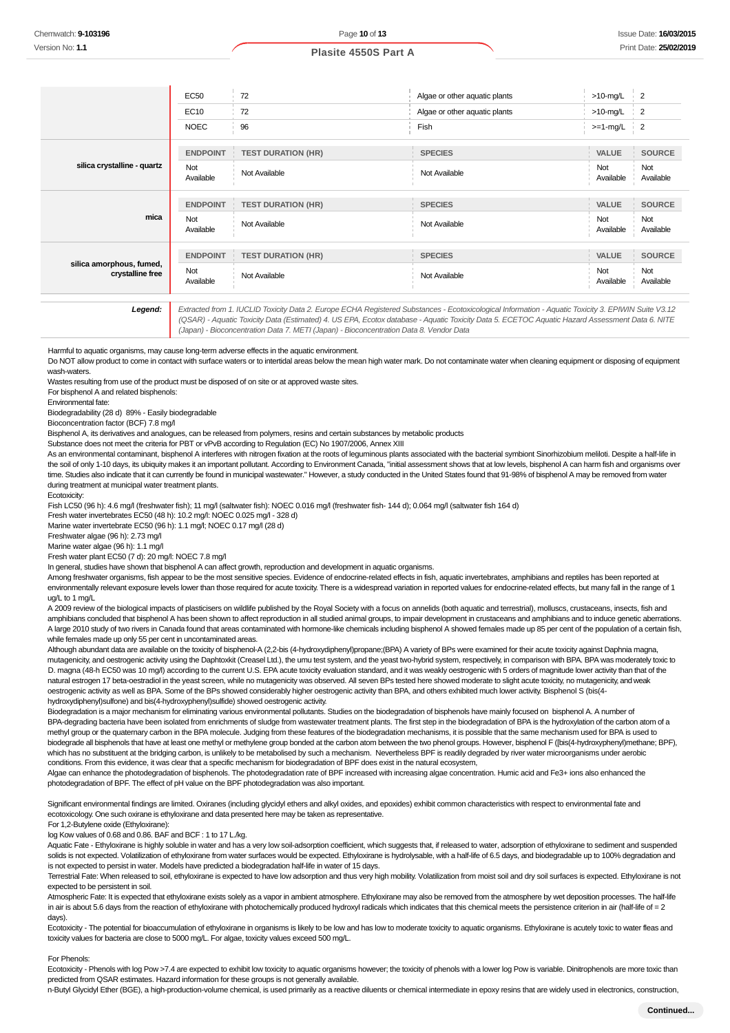| <b>EC50</b>      | 72                        | Algae or other aquatic plants | $>10$ -mg/L      | $\overline{2}$   |
|------------------|---------------------------|-------------------------------|------------------|------------------|
| <b>EC10</b>      | 72                        | Algae or other aquatic plants | $>10$ -mg/L      | $\overline{2}$   |
| <b>NOEC</b>      | 96                        | Fish                          | $>=1$ -mg/L      | $\frac{1}{2}$    |
| <b>ENDPOINT</b>  | <b>TEST DURATION (HR)</b> | <b>SPECIES</b>                | VALUE            | <b>SOURCE</b>    |
| Not<br>Available | Not Available             | Not Available                 | Not<br>Available | Not<br>Available |
| <b>ENDPOINT</b>  | <b>TEST DURATION (HR)</b> | <b>SPECIES</b>                | VALUE            | <b>SOURCE</b>    |
| Not<br>Available | Not Available             | Not Available                 | Not<br>Available | Not<br>Available |
| <b>ENDPOINT</b>  | <b>TEST DURATION (HR)</b> | <b>SPECIES</b>                | VALUE            | <b>SOURCE</b>    |
| Not<br>Available | Not Available             | Not Available                 | Not<br>Available | Not<br>Available |
|                  |                           |                               |                  |                  |

**Legend:** Extracted from 1. IUCLID Toxicity Data 2. Europe ECHA Registered Substances - Ecotoxicological Information - Aquatic Toxicity Data 2. Europe ECHA Registered Substances - Ecotoxicological Information - Aquatic V3. (QSAR) - Aquatic Toxicity Data (Estimated) 4. US EPA, Ecotox database - Aquatic Toxicity Data 5. ECETOC Aquatic Hazard Assessment Data 6. NITE (Japan) - Bioconcentration Data 7. METI (Japan) - Bioconcentration Data 8. Vendor Data

Harmful to aquatic organisms, may cause long-term adverse effects in the aquatic environment.

Do NOT allow product to come in contact with surface waters or to intertidal areas below the mean high water mark. Do not contaminate water when cleaning equipment or disposing of equipment wash-waters.

Wastes resulting from use of the product must be disposed of on site or at approved waste sites.

For bisphenol A and related bisphenols:

Environmental fate:

Biodegradability (28 d) 89% - Easily biodegradable

Bioconcentration factor (BCF) 7.8 mg/l

Bisphenol A, its derivatives and analogues, can be released from polymers, resins and certain substances by metabolic products

Substance does not meet the criteria for PBT or vPvB according to Regulation (EC) No 1907/2006, Annex XIII

As an environmental contaminant, bisphenol A interferes with nitrogen fixation at the roots of leguminous plants associated with the bacterial symbiont Sinorhizobium meliloti. Despite a half-life in the soil of only 1-10 days, its ubiquity makes it an important pollutant. According to Environment Canada, "initial assessment shows that at low levels, bisphenol A can harm fish and organisms over time. Studies also indicate that it can currently be found in municipal wastewater." However, a study conducted in the United States found that 91-98% of bisphenol A may be removed from water during treatment at municipal water treatment plants.

Ecotoxicity:

Fish LC50 (96 h): 4.6 mg/l (freshwater fish); 11 mg/l (saltwater fish): NOEC 0.016 mg/l (freshwater fish- 144 d); 0.064 mg/l (saltwater fish 164 d)

Fresh water invertebrates EC50 (48 h): 10.2 mg/l: NOEC 0.025 mg/l - 328 d)

Marine water invertebrate EC50 (96 h): 1.1 mg/l; NOEC 0.17 mg/l (28 d)

Freshwater algae (96 h): 2.73 mg/l Marine water algae (96 h): 1.1 mg/l

Fresh water plant EC50 (7 d): 20 mg/l: NOEC 7.8 mg/l

In general, studies have shown that bisphenol A can affect growth, reproduction and development in aquatic organisms.

Among freshwater organisms, fish appear to be the most sensitive species. Evidence of endocrine-related effects in fish, aquatic invertebrates, amphibians and reptiles has been reported at environmentally relevant exposure levels lower than those required for acute toxicity. There is a widespread variation in reported values for endocrine-related effects, but many fall in the range of 1 ug/L to 1 mg/L

A 2009 review of the biological impacts of plasticisers on wildlife published by the Royal Society with a focus on annelids (both aquatic and terrestrial), molluscs, crustaceans, insects, fish and amphibians concluded that bisphenol A has been shown to affect reproduction in all studied animal groups, to impair development in crustaceans and amphibians and to induce genetic aberrations. A large 2010 study of two rivers in Canada found that areas contaminated with hormone-like chemicals including bisphenol A showed females made up 85 per cent of the population of a certain fish, while females made up only 55 per cent in uncontaminated areas.

Although abundant data are available on the toxicity of bisphenol-A (2,2-bis (4-hydroxydiphenyl)propane;(BPA) A variety of BPs were examined for their acute toxicity against Daphnia magna, mutagenicity, and oestrogenic activity using the Daphtoxkit (Creasel Ltd.), the umu test system, and the yeast two-hybrid system, respectively, in comparison with BPA. BPA was moderately toxic to D. magna (48-h EC50 was 10 mg/l) according to the current U.S. EPA acute toxicity evaluation standard, and it was weakly oestrogenic with 5 orders of magnitude lower activity than that of the natural estrogen 17 beta-oestradiol in the yeast screen, while no mutagenicity was observed. All seven BPs tested here showed moderate to slight acute toxicity, no mutagenicity, and weak oestrogenic activity as well as BPA. Some of the BPs showed considerably higher oestrogenic activity than BPA, and others exhibited much lower activity. Bisphenol S (bis(4 hydroxydiphenyl)sulfone) and bis(4-hydroxyphenyl)sulfide) showed oestrogenic activity.

Biodegradation is a major mechanism for eliminating various environmental pollutants. Studies on the biodegradation of bisphenols have mainly focused on bisphenol A. A number of BPA-degrading bacteria have been isolated from enrichments of sludge from wastewater treatment plants. The first step in the biodegradation of BPA is the hydroxylation of the carbon atom of a methyl group or the quaternary carbon in the BPA molecule. Judging from these features of the biodegradation mechanisms, it is possible that the same mechanism used for BPA is used to biodegrade all bisphenols that have at least one methyl or methylene group bonded at the carbon atom between the two phenol groups. However, bisphenol F ([bis(4-hydroxyphenyl)methane; BPF), which has no substituent at the bridging carbon, is unlikely to be metabolised by such a mechanism. Nevertheless BPF is readily degraded by river water microorganisms under aerobic conditions. From this evidence, it was clear that a specific mechanism for biodegradation of BPF does exist in the natural ecosystem,

Algae can enhance the photodegradation of bisphenols. The photodegradation rate of BPF increased with increasing algae concentration. Humic acid and Fe3+ ions also enhanced the photodegradation of BPF. The effect of pH value on the BPF photodegradation was also important.

Significant environmental findings are limited. Oxiranes (including glycidyl ethers and alkyl oxides, and epoxides) exhibit common characteristics with respect to environmental fate and ecotoxicology. One such oxirane is ethyloxirane and data presented here may be taken as representative.

For 1,2-Butylene oxide (Ethyloxirane):

log Kow values of 0.68 and 0.86. BAF and BCF : 1 to 17 L./kg.

Aquatic Fate - Ethyloxirane is highly soluble in water and has a very low soil-adsorption coefficient, which suggests that, if released to water, adsorption of ethyloxirane to sediment and suspended solids is not expected. Volatilization of ethyloxirane from water surfaces would be expected. Ethyloxirane is hydrolysable, with a half-life of 6.5 days, and biodegradable up to 100% degradation and is not expected to persist in water. Models have predicted a biodegradation half-life in water of 15 days.

Terrestrial Fate: When released to soil, ethyloxirane is expected to have low adsorption and thus very high mobility. Volatilization from moist soil and dry soil surfaces is expected. Ethyloxirane is not expected to be persistent in soil.

Atmospheric Fate: It is expected that ethyloxirane exists solely as a vapor in ambient atmosphere. Ethyloxirane may also be removed from the atmosphere by wet deposition processes. The half-life in air is about 5.6 days from the reaction of ethyloxirane with photochemically produced hydroxyl radicals which indicates that this chemical meets the persistence criterion in air (half-life of = 2 days).

Ecotoxicity - The potential for bioaccumulation of ethyloxirane in organisms is likely to be low and has low to moderate toxicity to aquatic organisms. Ethyloxirane is acutely toxic to water fleas and toxicity values for bacteria are close to 5000 mg/L. For algae, toxicity values exceed 500 mg/L.

#### For Phenols:

Ecotoxicity - Phenols with log Pow >7.4 are expected to exhibit low toxicity to aquatic organisms however; the toxicity of phenols with a lower log Pow is variable. Dinitrophenols are more toxic than predicted from QSAR estimates. Hazard information for these groups is not generally available.

n-Butyl Glycidyl Ether (BGE), a high-production-volume chemical, is used primarily as a reactive diluents or chemical intermediate in epoxy resins that are widely used in electronics, construction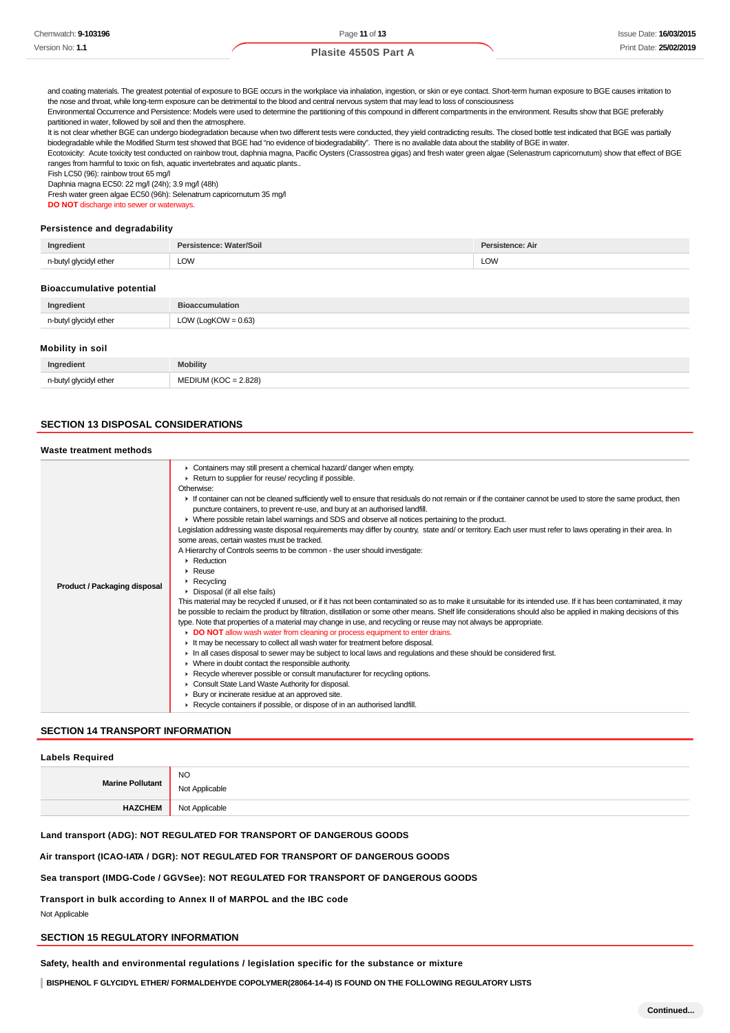| Chemwatch: 9-103196 |
|---------------------|
| Version No: 1.1     |

and coating materials. The greatest potential of exposure to BGE occurs in the workplace via inhalation, ingestion, or skin or eye contact. Short-term human exposure to BGE causes irritation to the nose and throat, while long-term exposure can be detrimental to the blood and central nervous system that may lead to loss of consciousness

Environmental Occurrence and Persistence: Models were used to determine the partitioning of this compound in different compartments in the environment. Results show that BGE preferably partitioned in water, followed by soil and then the atmosphere.

It is not clear whether BGE can undergo biodegradation because when two different tests were conducted, they yield contradicting results. The closed bottle test indicated that BGE was partially biodegradable while the Modified Sturm test showed that BGE had "no evidence of biodegradability". There is no available data about the stability of BGE in water.

Ecotoxicity: Acute toxicity test conducted on rainbow trout, daphnia magna, Pacific Oysters (Crassostrea gigas) and fresh water green algae (Selenastrum capricornutum) show that effect of BGE ranges from harmful to toxic on fish, aquatic invertebrates and aquatic plants..

Fish LC50 (96): rainbow trout 65 mg/l

Daphnia magna EC50: 22 mg/l (24h); 3.9 mg/l (48h)

Fresh water green algae EC50 (96h): Selenatrum capricornutum 35 mg/l **DO NOT** discharge into sewer or waterways.

#### **Persistence and degradability**

| Ingredient             | Persistence: Water/Soil | Persistence: Air |
|------------------------|-------------------------|------------------|
| n-butyl glycidyl ether | LOW                     | LOW              |
|                        |                         |                  |

#### **Bioaccumulative potential**

| Ingredient             | <b>Bioaccumulation</b> |
|------------------------|------------------------|
| n-butyl glycidyl ether | LOW (LogKOW = $0.63$ ) |

#### **Mobility in soil**

| Ingredient                       | <b>Mobility</b>                                                             |
|----------------------------------|-----------------------------------------------------------------------------|
| n-butyl glycidyl ether<br>.<br>. | 2.828<br>ி⊏<br>או וור־<br>$\overline{\phantom{a}}$<br>$ -$<br>$\sim$ $\sim$ |

# **SECTION 13 DISPOSAL CONSIDERATIONS**

### **Waste treatment methods**

| Product / Packaging disposal | Containers may still present a chemical hazard/danger when empty.<br>Return to supplier for reuse/ recycling if possible.<br>Otherwise:<br>If container can not be cleaned sufficiently well to ensure that residuals do not remain or if the container cannot be used to store the same product, then<br>puncture containers, to prevent re-use, and bury at an authorised landfill.<br>• Where possible retain label warnings and SDS and observe all notices pertaining to the product.<br>Legislation addressing waste disposal requirements may differ by country, state and/ or territory. Each user must refer to laws operating in their area. In<br>some areas, certain wastes must be tracked.<br>A Hierarchy of Controls seems to be common - the user should investigate:<br>$\blacktriangleright$ Reduction<br>$\triangleright$ Reuse<br>$\triangleright$ Recycling<br>Disposal (if all else fails)<br>This material may be recycled if unused, or if it has not been contaminated so as to make it unsuitable for its intended use. If it has been contaminated, it may<br>be possible to reclaim the product by filtration, distillation or some other means. Shelf life considerations should also be applied in making decisions of this<br>type. Note that properties of a material may change in use, and recycling or reuse may not always be appropriate.<br>DO NOT allow wash water from cleaning or process equipment to enter drains.<br>It may be necessary to collect all wash water for treatment before disposal.<br>In all cases disposal to sewer may be subject to local laws and regulations and these should be considered first.<br>• Where in doubt contact the responsible authority.<br>▶ Recycle wherever possible or consult manufacturer for recycling options.<br>Consult State Land Waste Authority for disposal. |
|------------------------------|-------------------------------------------------------------------------------------------------------------------------------------------------------------------------------------------------------------------------------------------------------------------------------------------------------------------------------------------------------------------------------------------------------------------------------------------------------------------------------------------------------------------------------------------------------------------------------------------------------------------------------------------------------------------------------------------------------------------------------------------------------------------------------------------------------------------------------------------------------------------------------------------------------------------------------------------------------------------------------------------------------------------------------------------------------------------------------------------------------------------------------------------------------------------------------------------------------------------------------------------------------------------------------------------------------------------------------------------------------------------------------------------------------------------------------------------------------------------------------------------------------------------------------------------------------------------------------------------------------------------------------------------------------------------------------------------------------------------------------------------------------------------------------------------------------------------------------------------------------------|
|                              | ▶ Bury or incinerate residue at an approved site.<br>▶ Recycle containers if possible, or dispose of in an authorised landfill.                                                                                                                                                                                                                                                                                                                                                                                                                                                                                                                                                                                                                                                                                                                                                                                                                                                                                                                                                                                                                                                                                                                                                                                                                                                                                                                                                                                                                                                                                                                                                                                                                                                                                                                             |
|                              |                                                                                                                                                                                                                                                                                                                                                                                                                                                                                                                                                                                                                                                                                                                                                                                                                                                                                                                                                                                                                                                                                                                                                                                                                                                                                                                                                                                                                                                                                                                                                                                                                                                                                                                                                                                                                                                             |

# **SECTION 14 TRANSPORT INFORMATION**

### **Labels Required**

| <b>Marine Pollutant</b> | <b>NO</b><br>: Applicable<br>Ν. |
|-------------------------|---------------------------------|
| <b>HAZCHEM</b>          | Not Applicable                  |

#### **Land transport (ADG): NOT REGULATED FOR TRANSPORT OF DANGEROUS GOODS**

**Air transport (ICAO-IATA / DGR): NOT REGULATED FOR TRANSPORT OF DANGEROUS GOODS**

### **Sea transport (IMDG-Code / GGVSee): NOT REGULATED FOR TRANSPORT OF DANGEROUS GOODS**

**Transport in bulk according to Annex II of MARPOL and the IBC code**

Not Applicable

# **SECTION 15 REGULATORY INFORMATION**

**Safety, health and environmental regulations / legislation specific for the substance or mixture**

**BISPHENOL F GLYCIDYL ETHER/ FORMALDEHYDE COPOLYMER(28064-14-4) IS FOUND ON THE FOLLOWING REGULATORY LISTS**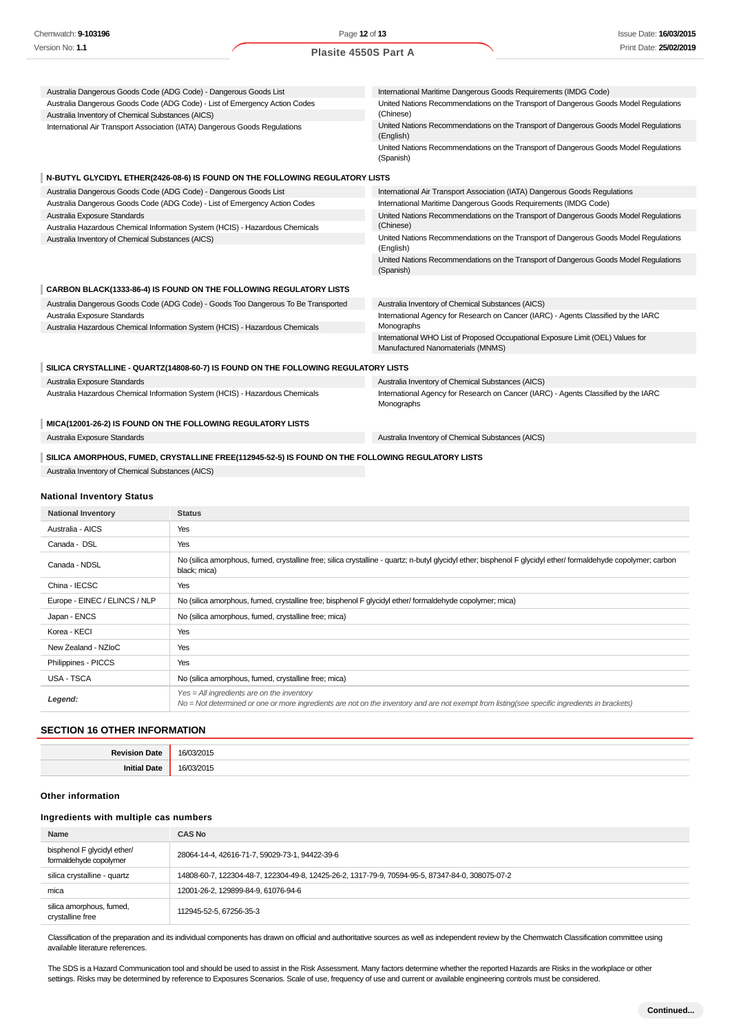| Australia Dangerous Goods Code (ADG Code) - Dangerous Goods List                                  | International Maritime Dangerous Goods Requirements (IMDG Code)                                                      |
|---------------------------------------------------------------------------------------------------|----------------------------------------------------------------------------------------------------------------------|
| Australia Dangerous Goods Code (ADG Code) - List of Emergency Action Codes                        | United Nations Recommendations on the Transport of Dangerous Goods Model Regulations                                 |
| Australia Inventory of Chemical Substances (AICS)                                                 | (Chinese)                                                                                                            |
| International Air Transport Association (IATA) Dangerous Goods Regulations                        | United Nations Recommendations on the Transport of Dangerous Goods Model Regulations<br>(English)                    |
|                                                                                                   | United Nations Recommendations on the Transport of Dangerous Goods Model Regulations<br>(Spanish)                    |
| N-BUTYL GLYCIDYL ETHER(2426-08-6) IS FOUND ON THE FOLLOWING REGULATORY LISTS                      |                                                                                                                      |
| Australia Dangerous Goods Code (ADG Code) - Dangerous Goods List                                  | International Air Transport Association (IATA) Dangerous Goods Regulations                                           |
| Australia Dangerous Goods Code (ADG Code) - List of Emergency Action Codes                        | International Maritime Dangerous Goods Requirements (IMDG Code)                                                      |
| Australia Exposure Standards                                                                      | United Nations Recommendations on the Transport of Dangerous Goods Model Regulations                                 |
| Australia Hazardous Chemical Information System (HCIS) - Hazardous Chemicals                      | (Chinese)                                                                                                            |
| Australia Inventory of Chemical Substances (AICS)                                                 | United Nations Recommendations on the Transport of Dangerous Goods Model Regulations<br>(English)                    |
|                                                                                                   | United Nations Recommendations on the Transport of Dangerous Goods Model Regulations<br>(Spanish)                    |
|                                                                                                   |                                                                                                                      |
| CARBON BLACK(1333-86-4) IS FOUND ON THE FOLLOWING REGULATORY LISTS                                |                                                                                                                      |
| Australia Dangerous Goods Code (ADG Code) - Goods Too Dangerous To Be Transported                 | Australia Inventory of Chemical Substances (AICS)                                                                    |
| Australia Exposure Standards                                                                      | International Agency for Research on Cancer (IARC) - Agents Classified by the IARC                                   |
| Australia Hazardous Chemical Information System (HCIS) - Hazardous Chemicals                      | Monographs                                                                                                           |
|                                                                                                   | International WHO List of Proposed Occupational Exposure Limit (OEL) Values for<br>Manufactured Nanomaterials (MNMS) |
| SILICA CRYSTALLINE - QUARTZ(14808-60-7) IS FOUND ON THE FOLLOWING REGULATORY LISTS                |                                                                                                                      |
| Australia Exposure Standards                                                                      | Australia Inventory of Chemical Substances (AICS)                                                                    |
| Australia Hazardous Chemical Information System (HCIS) - Hazardous Chemicals                      | International Agency for Research on Cancer (IARC) - Agents Classified by the IARC<br>Monographs                     |
| MICA(12001-26-2) IS FOUND ON THE FOLLOWING REGULATORY LISTS                                       |                                                                                                                      |
| Australia Exposure Standards                                                                      | Australia Inventory of Chemical Substances (AICS)                                                                    |
| SILICA AMORPHOUS, FUMED, CRYSTALLINE FREE(112945-52-5) IS FOUND ON THE FOLLOWING REGULATORY LISTS |                                                                                                                      |
| Australia Inventory of Chemical Substances (AICS)                                                 |                                                                                                                      |
| <b>National Inventory Status</b>                                                                  |                                                                                                                      |

| <b>National Inventory</b>     | <b>Status</b>                                                                                                                                                                                 |
|-------------------------------|-----------------------------------------------------------------------------------------------------------------------------------------------------------------------------------------------|
| Australia - AICS              | Yes                                                                                                                                                                                           |
| Canada - DSL                  | Yes                                                                                                                                                                                           |
| Canada - NDSL                 | No (silica amorphous, fumed, crystalline free; silica crystalline - quartz; n-butyl glycidyl ether; bisphenol F glycidyl ether/ formaldehyde copolymer; carbon<br>black; mica)                |
| China - IECSC                 | Yes                                                                                                                                                                                           |
| Europe - EINEC / ELINCS / NLP | No (silica amorphous, fumed, crystalline free; bisphenol F glycidyl ether/ formaldehyde copolymer; mica)                                                                                      |
| Japan - ENCS                  | No (silica amorphous, fumed, crystalline free; mica)                                                                                                                                          |
| Korea - KECI                  | Yes                                                                                                                                                                                           |
| New Zealand - NZIoC           | Yes                                                                                                                                                                                           |
| Philippines - PICCS           | Yes                                                                                                                                                                                           |
| USA - TSCA                    | No (silica amorphous, fumed, crystalline free; mica)                                                                                                                                          |
| Legend:                       | $Yes = All ingredients are on the inventory$<br>No = Not determined or one or more ingredients are not on the inventory and are not exempt from listing(see specific ingredients in brackets) |

# **SECTION 16 OTHER INFORMATION**

# **Other information**

| Name                                                  | <b>CAS No</b>                                                                                    |  |
|-------------------------------------------------------|--------------------------------------------------------------------------------------------------|--|
| bisphenol F glycidyl ether/<br>formaldehyde copolymer | 28064-14-4, 42616-71-7, 59029-73-1, 94422-39-6                                                   |  |
| silica crystalline - quartz                           | 14808-60-7, 122304-48-7, 122304-49-8, 12425-26-2, 1317-79-9, 70594-95-5, 87347-84-0, 308075-07-2 |  |
| mica                                                  | 12001-26-2, 129899-84-9, 61076-94-6                                                              |  |
| silica amorphous, fumed,<br>crystalline free          | 112945-52-5, 67256-35-3                                                                          |  |

Classification of the preparation and its individual components has drawn on official and authoritative sources as well as independent review by the Chemwatch Classification committee using available literature references.

The SDS is a Hazard Communication tool and should be used to assist in the Risk Assessment. Many factors determine whether the reported Hazards are Risks in the workplace or other settings. Risks may be determined by reference to Exposures Scenarios. Scale of use, frequency of use and current or available engineering controls must be considered.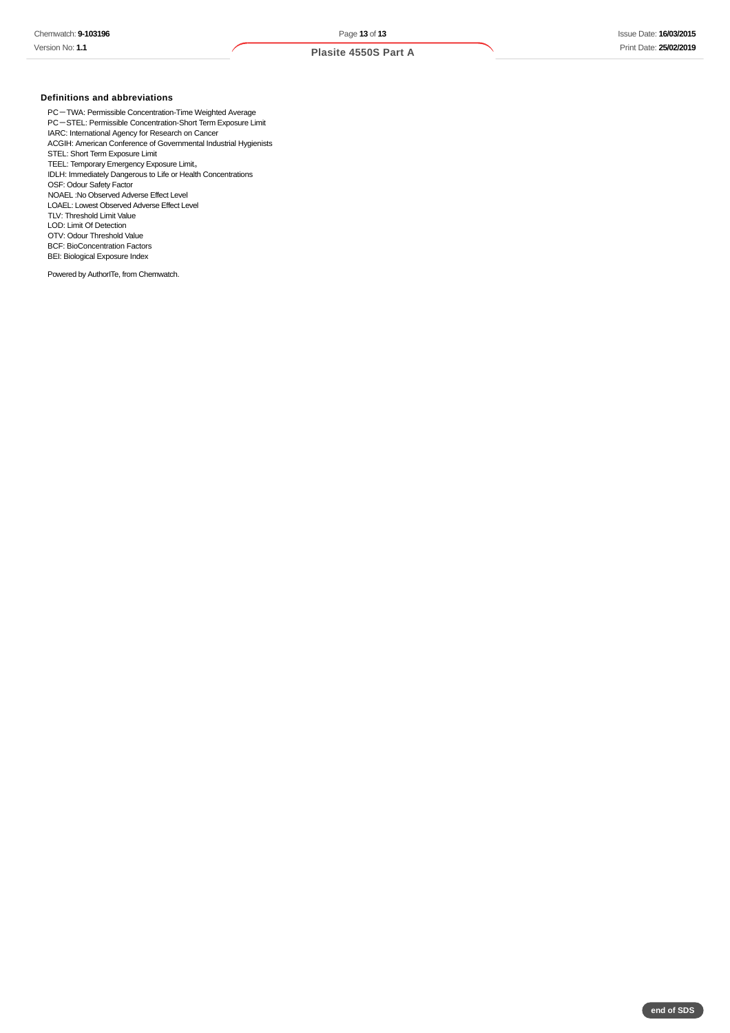# **Definitions and abbreviations**

PC-TWA: Permissible Concentration-Time Weighted Average PC-STEL: Permissible Concentration-Short Term Exposure Limit IARC: International Agency for Research on Cancer ACGIH: American Conference of Governmental Industrial Hygienists STEL: Short Term Exposure Limit TEEL: Temporary Emergency Exposure Limit。 IDLH: Immediately Dangerous to Life or Health Concentrations OSF: Odour Safety Factor NOAEL :No Observed Adverse Effect Level LOAEL: Lowest Observed Adverse Effect Level TLV: Threshold Limit Value LOD: Limit Of Detection OTV: Odour Threshold Value BCF: BioConcentration Factors BEI: Biological Exposure Index

Powered by AuthorITe, from Chemwatch.

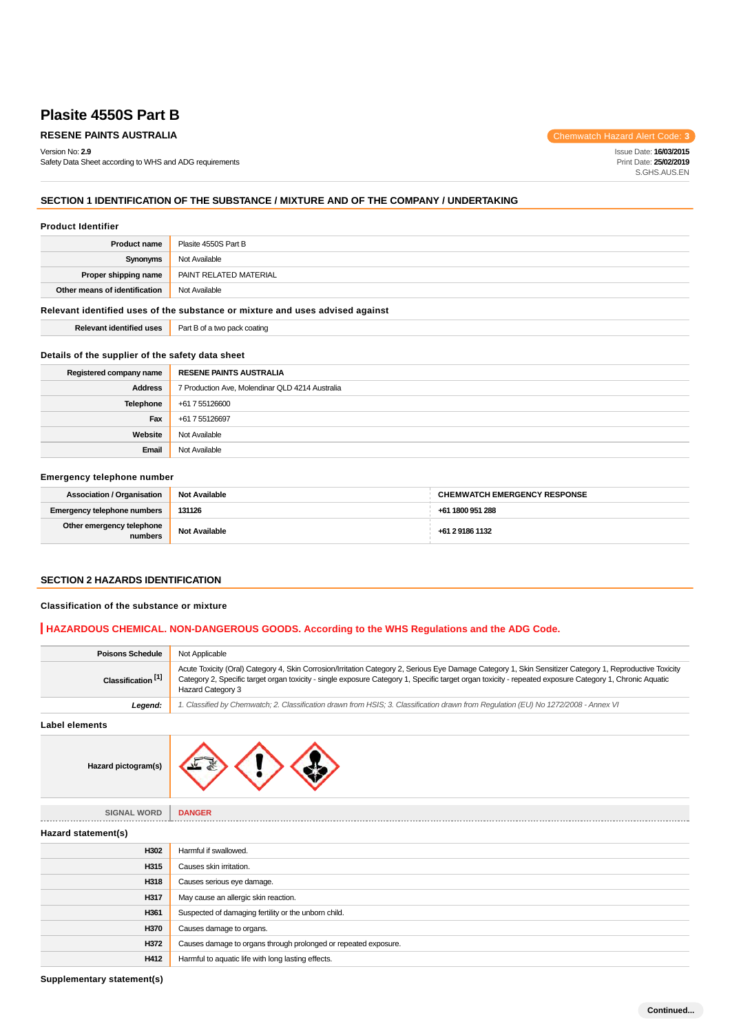# **RESENE PAINTS AUSTRALIA Chemwatch Hazard Alert Code: 3**

Version No: **2.9**

Safety Data Sheet according to WHS and ADG requirements

Issue Date: **16/03/2015** Print Date: **25/02/2019** S.GHS.AUS.EN

# **SECTION 1 IDENTIFICATION OF THE SUBSTANCE / MIXTURE AND OF THE COMPANY / UNDERTAKING**

#### **Product Identifier**

| Plasite 4550S Part B   |
|------------------------|
| Not Available          |
| PAINT RELATED MATERIAL |
| Not Available          |
|                        |

#### **Relevant identified uses of the substance or mixture and uses advised against**

| <b>Relevant identified uses</b> | Part B of a two pack coating |
|---------------------------------|------------------------------|
|---------------------------------|------------------------------|

# **Details of the supplier of the safety data sheet**

| Registered company name | <b>RESENE PAINTS AUSTRALIA</b>                  |
|-------------------------|-------------------------------------------------|
| <b>Address</b>          | 7 Production Ave, Molendinar QLD 4214 Australia |
| Telephone               | +61 7 55126600                                  |
| Fax                     | +61 7 55126697                                  |
| Website                 | Not Available                                   |
| Email                   | Not Available                                   |

#### **Emergency telephone number**

| <b>Association / Organisation</b>    | <b>Not Available</b> | <b>CHEMWATCH EMERGENCY RESPONSE</b> |
|--------------------------------------|----------------------|-------------------------------------|
| <b>Emergency telephone numbers</b>   | 131126               | +61 1800 951 288                    |
| Other emergency telephone<br>numbers | <b>Not Available</b> | +61 2 9186 1132                     |

# **SECTION 2 HAZARDS IDENTIFICATION**

#### **Classification of the substance or mixture**

#### **HAZARDOUS CHEMICAL. NON-DANGEROUS GOODS. According to the WHS Regulations and the ADG Code.**

| <b>Poisons Schedule</b>       | Not Applicable                                                                                                                                                                                                                                                                                                                           |
|-------------------------------|------------------------------------------------------------------------------------------------------------------------------------------------------------------------------------------------------------------------------------------------------------------------------------------------------------------------------------------|
| Classification <sup>[1]</sup> | Acute Toxicity (Oral) Category 4, Skin Corrosion/Irritation Category 2, Serious Eye Damage Category 1, Skin Sensitizer Category 1, Reproductive Toxicity<br>Category 2, Specific target organ toxicity - single exposure Category 1, Specific target organ toxicity - repeated exposure Category 1, Chronic Aquatic<br>Hazard Category 3 |
| Legend:                       | 1. Classified by Chemwatch; 2. Classification drawn from HSIS; 3. Classification drawn from Requlation (EU) No 1272/2008 - Annex VI                                                                                                                                                                                                      |

**Label elements**



| <b>SIGNAL WORD</b>  | <b>DANGER</b>                                                   |
|---------------------|-----------------------------------------------------------------|
| Hazard statement(s) |                                                                 |
| H302                | Harmful if swallowed.                                           |
| H315                | Causes skin irritation.                                         |
| H318                | Causes serious eye damage.                                      |
| H317                | May cause an allergic skin reaction.                            |
| H361                | Suspected of damaging fertility or the unborn child.            |
| H370                | Causes damage to organs.                                        |
| H372                | Causes damage to organs through prolonged or repeated exposure. |
| H412                | Harmful to aquatic life with long lasting effects.              |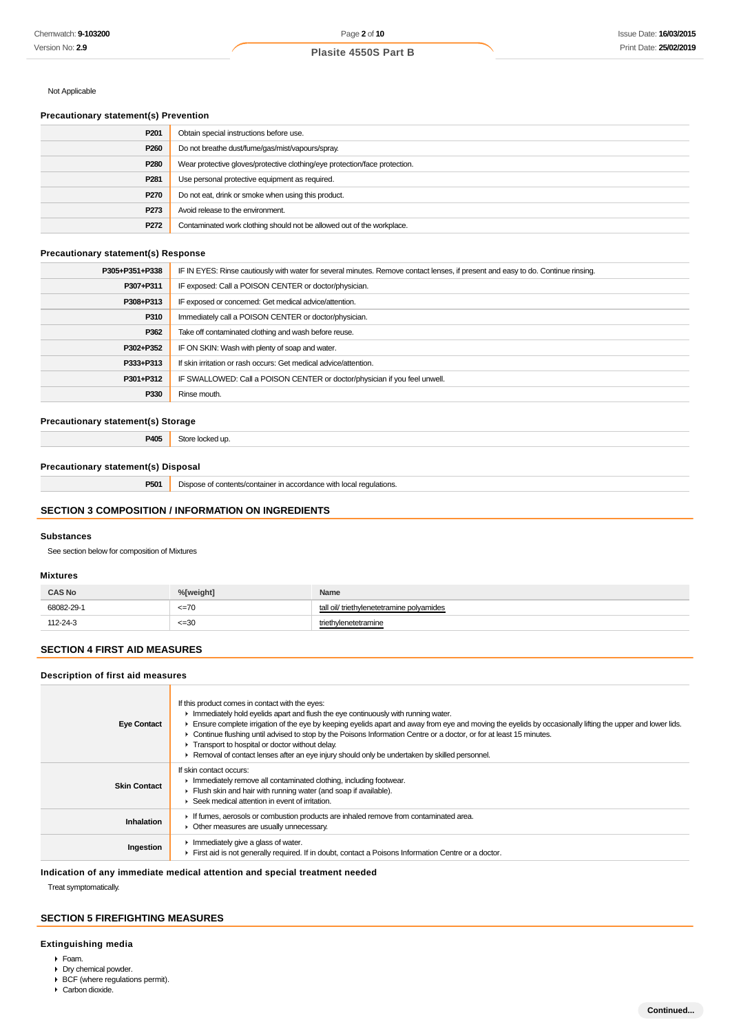# Not Applicable

# **Precautionary statement(s) Prevention**

| P <sub>201</sub> | Obtain special instructions before use.                                    |
|------------------|----------------------------------------------------------------------------|
| P260             | Do not breathe dust/fume/gas/mist/vapours/spray.                           |
| P280             | Wear protective gloves/protective clothing/eye protection/face protection. |
| P <sub>281</sub> | Use personal protective equipment as required.                             |
| P270             | Do not eat, drink or smoke when using this product.                        |
| P273             | Avoid release to the environment.                                          |
| P272             | Contaminated work clothing should not be allowed out of the workplace.     |

#### **Precautionary statement(s) Response**

| P305+P351+P338 | IF IN EYES: Rinse cautiously with water for several minutes. Remove contact lenses, if present and easy to do. Continue rinsing. |  |
|----------------|----------------------------------------------------------------------------------------------------------------------------------|--|
| P307+P311      | IF exposed: Call a POISON CENTER or doctor/physician.                                                                            |  |
| P308+P313      | IF exposed or concerned: Get medical advice/attention.                                                                           |  |
| P310           | Immediately call a POISON CENTER or doctor/physician.                                                                            |  |
| P362           | Take off contaminated clothing and wash before reuse.                                                                            |  |
| P302+P352      | IF ON SKIN: Wash with plenty of soap and water.                                                                                  |  |
| P333+P313      | If skin irritation or rash occurs: Get medical advice/attention.                                                                 |  |
| P301+P312      | IF SWALLOWED: Call a POISON CENTER or doctor/physician if you feel unwell.                                                       |  |
| P330           | Rinse mouth.                                                                                                                     |  |

# **Precautionary statement(s) Storage**

**P405** Store locked up.

#### **Precautionary statement(s) Disposal**

**P501** Dispose of contents/container in accordance with local regulations.

# **SECTION 3 COMPOSITION / INFORMATION ON INGREDIENTS**

#### **Substances**

See section below for composition of Mixtures

#### **Mixtures**

| <b>CAS No</b> | %[weight] | Name                                      |
|---------------|-----------|-------------------------------------------|
| 68082-29-1    | $=70$     | triethvlenetetramine polvamides<br>tall o |
| 112-24-3      | $=30$     | enetetramine<br>meth                      |

# **SECTION 4 FIRST AID MEASURES**

# **Description of first aid measures**

| <b>Eye Contact</b>  | If this product comes in contact with the eyes:<br>Inmediately hold eyelids apart and flush the eye continuously with running water.<br>Ensure complete irrigation of the eye by keeping eyelids apart and away from eye and moving the eyelids by occasionally lifting the upper and lower lids.<br>► Continue flushing until advised to stop by the Poisons Information Centre or a doctor, or for at least 15 minutes.<br>Transport to hospital or doctor without delay.<br>► Removal of contact lenses after an eye injury should only be undertaken by skilled personnel. |
|---------------------|--------------------------------------------------------------------------------------------------------------------------------------------------------------------------------------------------------------------------------------------------------------------------------------------------------------------------------------------------------------------------------------------------------------------------------------------------------------------------------------------------------------------------------------------------------------------------------|
| <b>Skin Contact</b> | If skin contact occurs:<br>In mediately remove all contaminated clothing, including footwear.<br>Flush skin and hair with running water (and soap if available).<br>Seek medical attention in event of irritation.                                                                                                                                                                                                                                                                                                                                                             |
| <b>Inhalation</b>   | If fumes, aerosols or combustion products are inhaled remove from contaminated area.<br>• Other measures are usually unnecessary.                                                                                                                                                                                                                                                                                                                                                                                                                                              |
| Ingestion           | $\blacktriangleright$ Immediately give a glass of water.<br>First aid is not generally required. If in doubt, contact a Poisons Information Centre or a doctor.                                                                                                                                                                                                                                                                                                                                                                                                                |

# **Indication of any immediate medical attention and special treatment needed**

Treat symptomatically.

# **SECTION 5 FIREFIGHTING MEASURES**

# **Extinguishing media**

- Foam.
- Dry chemical powder.
- $\triangleright$  BCF (where regulations permit). Carbon dioxide.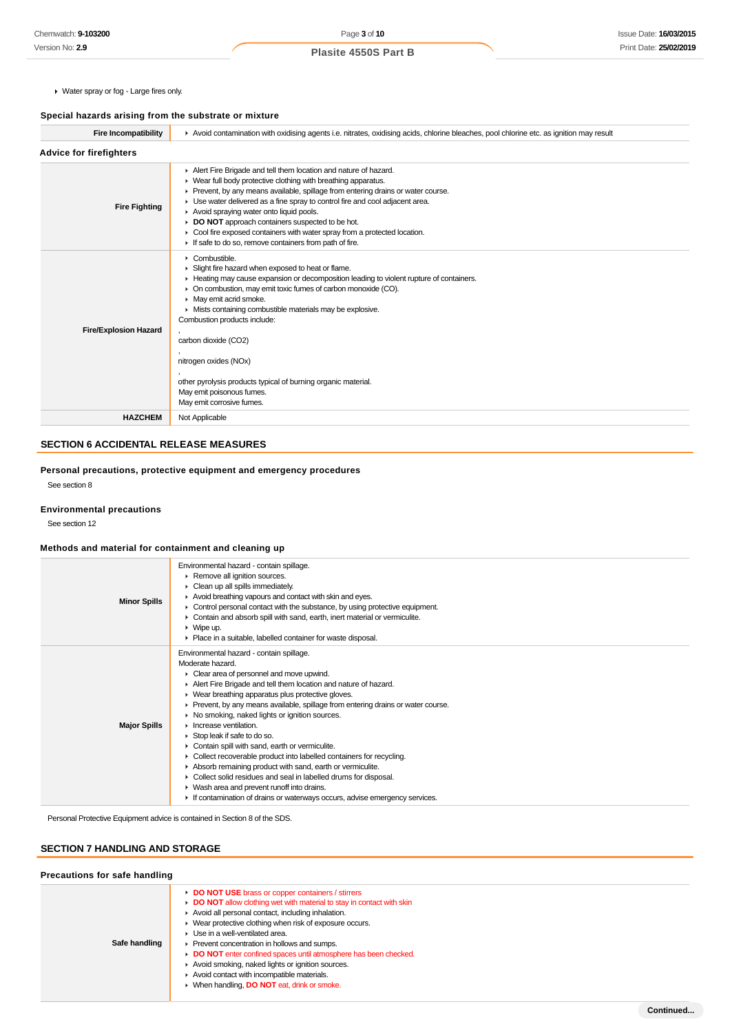Water spray or fog - Large fires only.

# **Special hazards arising from the substrate or mixture**

| Avoid contamination with oxidising agents i.e. nitrates, oxidising acids, chlorine bleaches, pool chlorine etc. as ignition may result                                                                                                                                                                                                                                                                                                                                                                                                          |  |  |
|-------------------------------------------------------------------------------------------------------------------------------------------------------------------------------------------------------------------------------------------------------------------------------------------------------------------------------------------------------------------------------------------------------------------------------------------------------------------------------------------------------------------------------------------------|--|--|
|                                                                                                                                                                                                                                                                                                                                                                                                                                                                                                                                                 |  |  |
| Alert Fire Brigade and tell them location and nature of hazard.<br>▶ Wear full body protective clothing with breathing apparatus.<br>Prevent, by any means available, spillage from entering drains or water course.<br>• Use water delivered as a fine spray to control fire and cool adjacent area.<br>Avoid spraying water onto liquid pools.<br>DO NOT approach containers suspected to be hot.<br>▶ Cool fire exposed containers with water spray from a protected location.<br>If safe to do so, remove containers from path of fire.     |  |  |
| $\triangleright$ Combustible.<br>Slight fire hazard when exposed to heat or flame.<br>Heating may cause expansion or decomposition leading to violent rupture of containers.<br>On combustion, may emit toxic fumes of carbon monoxide (CO).<br>• May emit acrid smoke.<br>Mists containing combustible materials may be explosive.<br>Combustion products include:<br>carbon dioxide (CO2)<br>nitrogen oxides (NOx)<br>other pyrolysis products typical of burning organic material.<br>May emit poisonous fumes.<br>May emit corrosive fumes. |  |  |
| Not Applicable                                                                                                                                                                                                                                                                                                                                                                                                                                                                                                                                  |  |  |
|                                                                                                                                                                                                                                                                                                                                                                                                                                                                                                                                                 |  |  |

# **SECTION 6 ACCIDENTAL RELEASE MEASURES**

**Personal precautions, protective equipment and emergency procedures** See section 8

#### **Environmental precautions**

See section 12

### **Methods and material for containment and cleaning up**

| <b>Minor Spills</b> | Environmental hazard - contain spillage.<br>Remove all ignition sources.<br>Clean up all spills immediately.                                                                                                                                                                                                                                                                                                                                                                                                                                                                                                                                                                                                                                                                                                                                                         |
|---------------------|----------------------------------------------------------------------------------------------------------------------------------------------------------------------------------------------------------------------------------------------------------------------------------------------------------------------------------------------------------------------------------------------------------------------------------------------------------------------------------------------------------------------------------------------------------------------------------------------------------------------------------------------------------------------------------------------------------------------------------------------------------------------------------------------------------------------------------------------------------------------|
|                     | Avoid breathing vapours and contact with skin and eyes.<br>• Control personal contact with the substance, by using protective equipment.<br>• Contain and absorb spill with sand, earth, inert material or vermiculite.<br>$\blacktriangleright$ Wipe up.<br>• Place in a suitable, labelled container for waste disposal.                                                                                                                                                                                                                                                                                                                                                                                                                                                                                                                                           |
| <b>Major Spills</b> | Environmental hazard - contain spillage.<br>Moderate hazard.<br>• Clear area of personnel and move upwind.<br>Alert Fire Brigade and tell them location and nature of hazard.<br>• Wear breathing apparatus plus protective gloves.<br>▶ Prevent, by any means available, spillage from entering drains or water course.<br>• No smoking, naked lights or ignition sources.<br>$\blacktriangleright$ Increase ventilation.<br>$\triangleright$ Stop leak if safe to do so.<br>Contain spill with sand, earth or vermiculite.<br>• Collect recoverable product into labelled containers for recycling.<br>Absorb remaining product with sand, earth or vermiculite.<br>• Collect solid residues and seal in labelled drums for disposal.<br>• Wash area and prevent runoff into drains.<br>If contamination of drains or waterways occurs, advise emergency services. |

Personal Protective Equipment advice is contained in Section 8 of the SDS.

# **SECTION 7 HANDLING AND STORAGE**

| Precautions for safe handling |                                                                                                                                                                                                                                                                                                                                                                                                                                                                                                                                                   |
|-------------------------------|---------------------------------------------------------------------------------------------------------------------------------------------------------------------------------------------------------------------------------------------------------------------------------------------------------------------------------------------------------------------------------------------------------------------------------------------------------------------------------------------------------------------------------------------------|
| Safe handling                 | DO NOT USE brass or copper containers / stirrers<br>DO NOT allow clothing wet with material to stay in contact with skin<br>Avoid all personal contact, including inhalation.<br>▶ Wear protective clothing when risk of exposure occurs.<br>• Use in a well-ventilated area.<br>Prevent concentration in hollows and sumps.<br>DO NOT enter confined spaces until atmosphere has been checked.<br>Avoid smoking, naked lights or ignition sources.<br>Avoid contact with incompatible materials.<br>▶ When handling, DO NOT eat, drink or smoke. |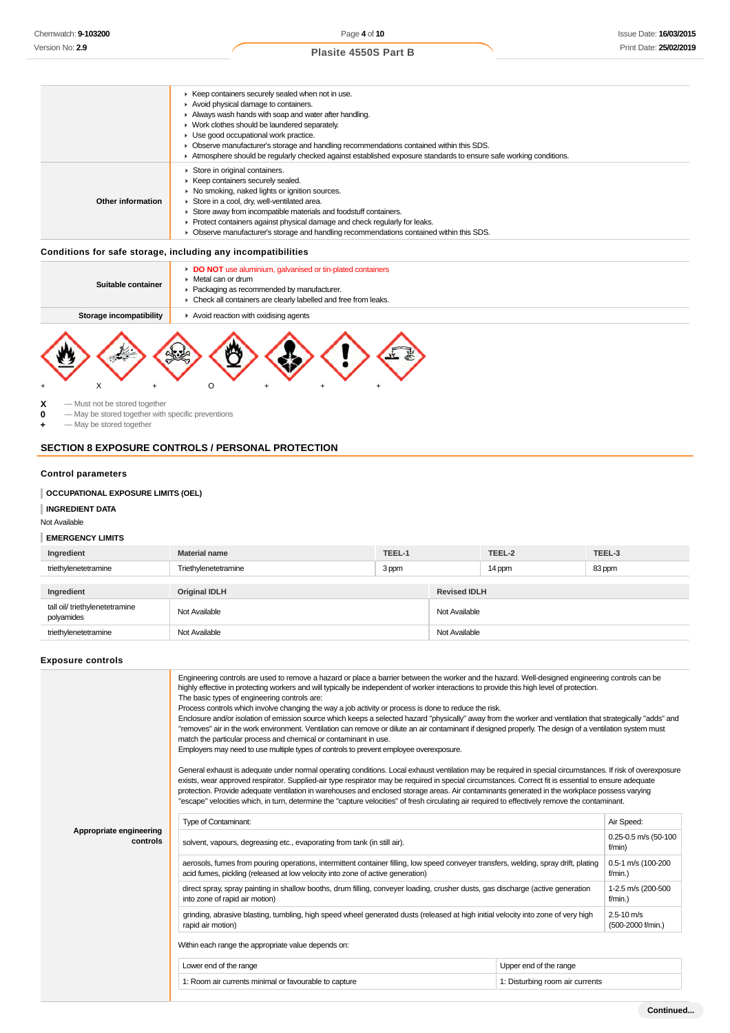#### $\blacktriangleright$  Keep containers securely sealed when not in use. Avoid physical damage to containers. Always wash hands with soap and water after handling. ► Work clothes should be laundered separately. Use good occupational work practice. Observe manufacturer's storage and handling recommendations contained within this SDS. Atmosphere should be regularly checked against established exposure standards to ensure safe working conditions. **Other information** Store in original containers.  $\blacktriangleright$  Keep containers securely sealed.  $\blacktriangleright$  No smoking, naked lights or ignition sources. Store in a cool, dry, well-ventilated area. Store away from incompatible materials and foodstuff containers. Protect containers against physical damage and check regularly for leaks. Observe manufacturer's storage and handling recommendations contained within this SDS.

### **Conditions for safe storage, including any incompatibilities**

| Suitable container      | Metal can or drum                    | DO NOT use aluminium, galvanised or tin-plated containers<br>• Packaging as recommended by manufacturer.<br>• Check all containers are clearly labelled and free from leaks. |  |  |  |
|-------------------------|--------------------------------------|------------------------------------------------------------------------------------------------------------------------------------------------------------------------------|--|--|--|
| Storage incompatibility | Avoid reaction with oxidising agents |                                                                                                                                                                              |  |  |  |
|                         |                                      |                                                                                                                                                                              |  |  |  |



 $\begin{array}{ccc} \mathbf{X} & -\text{Must not be stored together} \\ \mathbf{0} & -\text{Max be stored together with} \end{array}$ 

**0** — May be stored together with specific preventions

**+** — May be stored together

#### **SECTION 8 EXPOSURE CONTROLS / PERSONAL PROTECTION**

# **Control parameters**

# **OCCUPATIONAL EXPOSURE LIMITS (OEL)**

**INGREDIENT DATA**

Not Available

#### **EMERGENCY LIMITS**

| Ingredient                                   | <b>Material name</b> | TEEL-1 |                     | TEEL-2 | TEEL-3 |
|----------------------------------------------|----------------------|--------|---------------------|--------|--------|
| triethylenetetramine                         | Triethylenetetramine | 3 ppm  |                     | 14 ppm | 83 ppm |
|                                              |                      |        |                     |        |        |
| Ingredient                                   | <b>Original IDLH</b> |        | <b>Revised IDLH</b> |        |        |
| tall oil/ triethylenetetramine<br>polyamides | Not Available        |        | Not Available       |        |        |
| triethylenetetramine                         | Not Available        |        | Not Available       |        |        |

#### **Exposure controls**

|                                     | Engineering controls are used to remove a hazard or place a barrier between the worker and the hazard. Well-designed engineering controls can be<br>highly effective in protecting workers and will typically be independent of worker interactions to provide this high level of protection.<br>The basic types of engineering controls are:<br>Process controls which involve changing the way a job activity or process is done to reduce the risk.<br>Enclosure and/or isolation of emission source which keeps a selected hazard "physically" away from the worker and ventilation that strategically "adds" and<br>"removes" air in the work environment. Ventilation can remove or dilute an air contaminant if designed properly. The design of a ventilation system must<br>match the particular process and chemical or contaminant in use.<br>Employers may need to use multiple types of controls to prevent employee overexposure.<br>General exhaust is adequate under normal operating conditions. Local exhaust ventilation may be required in special circumstances. If risk of overexposure<br>exists, wear approved respirator. Supplied-air type respirator may be required in special circumstances. Correct fit is essential to ensure adequate<br>protection. Provide adequate ventilation in warehouses and enclosed storage areas. Air contaminants generated in the workplace possess varying<br>"escape" velocities which, in turn, determine the "capture velocities" of fresh circulating air required to effectively remove the contaminant. |                                 |                                  |  |  |
|-------------------------------------|----------------------------------------------------------------------------------------------------------------------------------------------------------------------------------------------------------------------------------------------------------------------------------------------------------------------------------------------------------------------------------------------------------------------------------------------------------------------------------------------------------------------------------------------------------------------------------------------------------------------------------------------------------------------------------------------------------------------------------------------------------------------------------------------------------------------------------------------------------------------------------------------------------------------------------------------------------------------------------------------------------------------------------------------------------------------------------------------------------------------------------------------------------------------------------------------------------------------------------------------------------------------------------------------------------------------------------------------------------------------------------------------------------------------------------------------------------------------------------------------------------------------------------------------------------------------------|---------------------------------|----------------------------------|--|--|
|                                     | Type of Contaminant:                                                                                                                                                                                                                                                                                                                                                                                                                                                                                                                                                                                                                                                                                                                                                                                                                                                                                                                                                                                                                                                                                                                                                                                                                                                                                                                                                                                                                                                                                                                                                       |                                 |                                  |  |  |
| Appropriate engineering<br>controls | solvent, vapours, degreasing etc., evaporating from tank (in still air).                                                                                                                                                                                                                                                                                                                                                                                                                                                                                                                                                                                                                                                                                                                                                                                                                                                                                                                                                                                                                                                                                                                                                                                                                                                                                                                                                                                                                                                                                                   |                                 |                                  |  |  |
|                                     | aerosols, fumes from pouring operations, intermittent container filling, low speed conveyer transfers, welding, spray drift, plating<br>0.5-1 m/s (100-200<br>acid fumes, pickling (released at low velocity into zone of active generation)<br>$f/min.$ )                                                                                                                                                                                                                                                                                                                                                                                                                                                                                                                                                                                                                                                                                                                                                                                                                                                                                                                                                                                                                                                                                                                                                                                                                                                                                                                 |                                 |                                  |  |  |
|                                     | direct spray, spray painting in shallow booths, drum filling, conveyer loading, crusher dusts, gas discharge (active generation<br>into zone of rapid air motion)                                                                                                                                                                                                                                                                                                                                                                                                                                                                                                                                                                                                                                                                                                                                                                                                                                                                                                                                                                                                                                                                                                                                                                                                                                                                                                                                                                                                          |                                 | 1-2.5 m/s (200-500<br>$f/min.$ ) |  |  |
|                                     | grinding, abrasive blasting, tumbling, high speed wheel generated dusts (released at high initial velocity into zone of very high<br>rapid air motion)                                                                                                                                                                                                                                                                                                                                                                                                                                                                                                                                                                                                                                                                                                                                                                                                                                                                                                                                                                                                                                                                                                                                                                                                                                                                                                                                                                                                                     |                                 |                                  |  |  |
|                                     | Within each range the appropriate value depends on:                                                                                                                                                                                                                                                                                                                                                                                                                                                                                                                                                                                                                                                                                                                                                                                                                                                                                                                                                                                                                                                                                                                                                                                                                                                                                                                                                                                                                                                                                                                        |                                 |                                  |  |  |
|                                     | Lower end of the range                                                                                                                                                                                                                                                                                                                                                                                                                                                                                                                                                                                                                                                                                                                                                                                                                                                                                                                                                                                                                                                                                                                                                                                                                                                                                                                                                                                                                                                                                                                                                     | Upper end of the range          |                                  |  |  |
|                                     | 1: Room air currents minimal or favourable to capture                                                                                                                                                                                                                                                                                                                                                                                                                                                                                                                                                                                                                                                                                                                                                                                                                                                                                                                                                                                                                                                                                                                                                                                                                                                                                                                                                                                                                                                                                                                      | 1: Disturbing room air currents |                                  |  |  |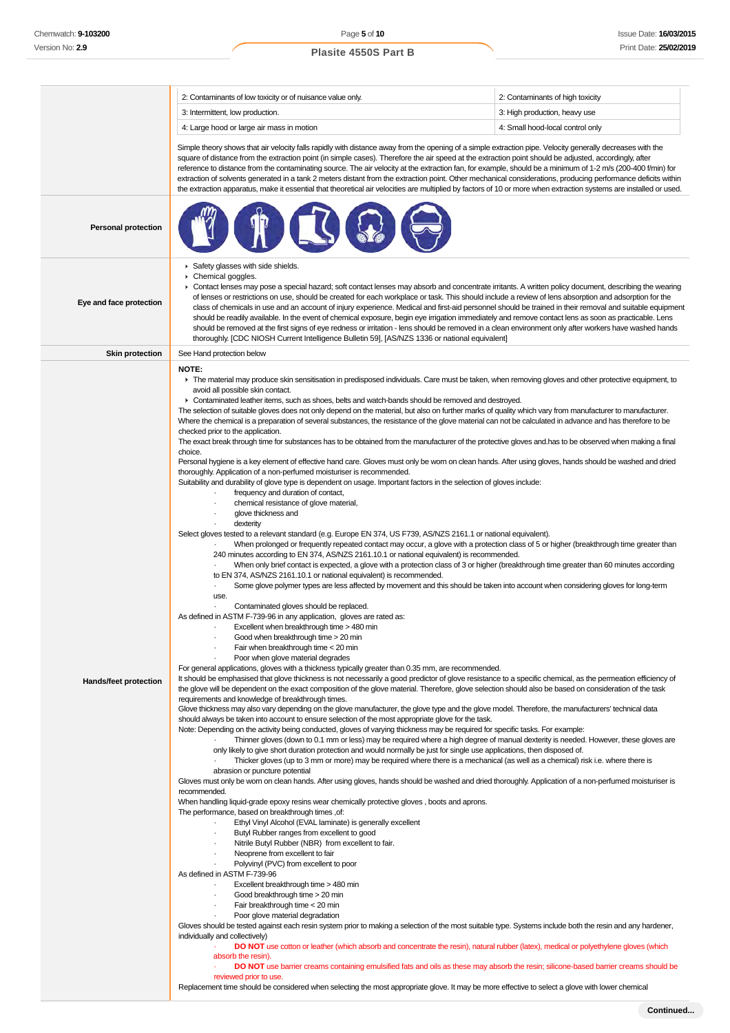2: Contaminants of low toxicity or of nuisance value only. 2: Contaminants of high toxicity 3: Intermittent, low production. **3:** High production, heavy use 4: Large hood or large air mass in motion 4: Small hood-local control only Simple theory shows that air velocity falls rapidly with distance away from the opening of a simple extraction pipe. Velocity generally decreases with the square of distance from the extraction point (in simple cases). Therefore the air speed at the extraction point should be adjusted, accordingly, after reference to distance from the contaminating source. The air velocity at the extraction fan, for example, should be a minimum of 1-2 m/s (200-400 f/min) for extraction of solvents generated in a tank 2 meters distant from the extraction point. Other mechanical considerations, producing performance deficits within the extraction apparatus, make it essential that theoretical air velocities are multiplied by factors of 10 or more when extraction systems are installed or used. **Personal protection**  $\triangleright$  Safety glasses with side shields. ¥ Chemical goggles. Contact lenses may pose a special hazard; soft contact lenses may absorb and concentrate irritants. A written policy document, describing the wearing of lenses or restrictions on use, should be created for each workplace or task. This should include a review of lens absorption and adsorption for the **Eye and face protection** class of chemicals in use and an account of injury experience. Medical and first-aid personnel should be trained in their removal and suitable equipment should be readily available. In the event of chemical exposure, begin eye irrigation immediately and remove contact lens as soon as practicable. Lens should be removed at the first signs of eye redness or irritation - lens should be removed in a clean environment only after workers have washed hands thoroughly. [CDC NIOSH Current Intelligence Bulletin 59], [AS/NZS 1336 or national equivalent] **Skin protection** See Hand protection below **NOTE:** The material may produce skin sensitisation in predisposed individuals. Care must be taken, when removing gloves and other protective equipment, to avoid all possible skin contact. Contaminated leather items, such as shoes, belts and watch-bands should be removed and destroyed. The selection of suitable gloves does not only depend on the material, but also on further marks of quality which vary from manufacturer to manufacturer. Where the chemical is a preparation of several substances, the resistance of the glove material can not be calculated in advance and has therefore to be checked prior to the application. The exact break through time for substances has to be obtained from the manufacturer of the protective gloves and.has to be observed when making a final choice. Personal hygiene is a key element of effective hand care. Gloves must only be worn on clean hands. After using gloves, hands should be washed and dried thoroughly. Application of a non-perfumed moisturiser is recommended. Suitability and durability of glove type is dependent on usage. Important factors in the selection of gloves include: frequency and duration of contact. · chemical resistance of glove material, glove thickness and dexterity Select gloves tested to a relevant standard (e.g. Europe EN 374, US F739, AS/NZS 2161.1 or national equivalent). · When prolonged or frequently repeated contact may occur, a glove with a protection class of 5 or higher (breakthrough time greater than 240 minutes according to EN 374, AS/NZS 2161.10.1 or national equivalent) is recommended. · When only brief contact is expected, a glove with a protection class of 3 or higher (breakthrough time greater than 60 minutes according to EN 374, AS/NZS 2161.10.1 or national equivalent) is recommended. Some glove polymer types are less affected by movement and this should be taken into account when considering gloves for long-term use. Contaminated gloves should be replaced. As defined in ASTM F-739-96 in any application, gloves are rated as: Excellent when breakthrough time > 480 min Good when breakthrough time > 20 min Fair when breakthrough time < 20 min Poor when glove material degrades For general applications, gloves with a thickness typically greater than 0.35 mm, are recommended. It should be emphasised that glove thickness is not necessarily a good predictor of glove resistance to a specific chemical, as the permeation efficiency of **Hands/feet protection** the glove will be dependent on the exact composition of the glove material. Therefore, glove selection should also be based on consideration of the task requirements and knowledge of breakthrough times. Glove thickness may also vary depending on the glove manufacturer, the glove type and the glove model. Therefore, the manufacturers' technical data should always be taken into account to ensure selection of the most appropriate glove for the task. Note: Depending on the activity being conducted, gloves of varying thickness may be required for specific tasks. For example: · Thinner gloves (down to 0.1 mm or less) may be required where a high degree of manual dexterity is needed. However, these gloves are only likely to give short duration protection and would normally be just for single use applications, then disposed of. · Thicker gloves (up to 3 mm or more) may be required where there is a mechanical (as well as a chemical) risk i.e. where there is abrasion or puncture potential Gloves must only be worn on clean hands. After using gloves, hands should be washed and dried thoroughly. Application of a non-perfumed moisturiser is recommended. When handling liquid-grade epoxy resins wear chemically protective gloves , boots and aprons. The performance, based on breakthrough times ,of: Ethyl Vinyl Alcohol (EVAL laminate) is generally excellent Butyl Rubber ranges from excellent to good Nitrile Butyl Rubber (NBR) from excellent to fair. Neoprene from excellent to fair Polyvinyl (PVC) from excellent to poor As defined in ASTM F-739-96 Excellent breakthrough time > 480 min Good breakthrough time > 20 min Fair breakthrough time < 20 min Poor glove material degradation Gloves should be tested against each resin system prior to making a selection of the most suitable type. Systems include both the resin and any hardener, individually and collectively) DO NOT use cotton or leather (which absorb and concentrate the resin), natural rubber (latex), medical or polyethylene gloves (which absorb the resin). DO NOT use barrier creams containing emulsified fats and oils as these may absorb the resin; silicone-based barrier creams should be reviewed prior to use.

Replacement time should be considered when selecting the most appropriate glove. It may be more effective to select a glove with lower chemical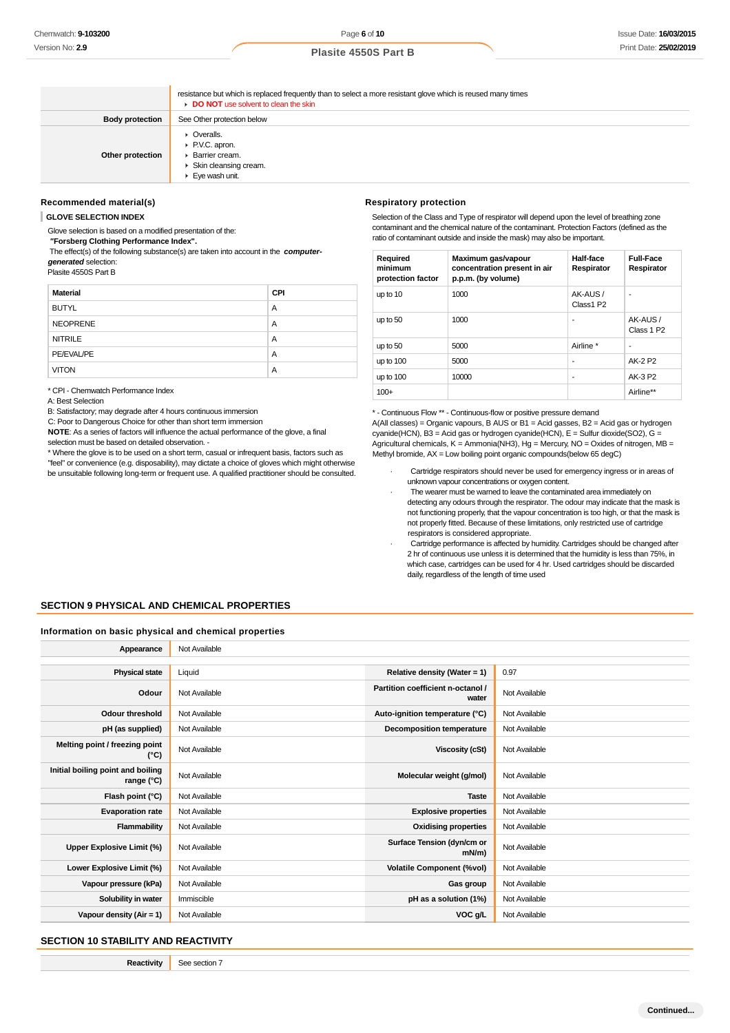resistance but which is replaced frequently than to select a more resistant glove which is reused many times **DO NOT** use solvent to clean the skin **Body protection** See Other protection below **Other protection C** Overalls P.V.C. apron. Barrier cream. Skin cleansing cream. Eye wash unit.

#### **Recommended material(s)**

**GLOVE SELECTION INDEX**

Glove selection is based on a modified presentation of the:  **"Forsberg Clothing Performance Index".**

 The effect(s) of the following substance(s) are taken into account in the **computergenerated** selection:

Plasite 4550S Part B

| <b>Material</b> | <b>CPI</b> |
|-----------------|------------|
| <b>BUTYL</b>    | A          |
| <b>NEOPRENE</b> | A          |
| <b>NITRILE</b>  | A          |
| PE/EVAL/PE      | A          |
| <b>VITON</b>    | A          |

\* CPI - Chemwatch Performance Index

A: Best Selection

B: Satisfactory; may degrade after 4 hours continuous immersion

C: Poor to Dangerous Choice for other than short term immersion

**NOTE**: As a series of factors will influence the actual performance of the glove, a final selection must be based on detailed observation. -

\* Where the glove is to be used on a short term, casual or infrequent basis, factors such as "feel" or convenience (e.g. disposability), may dictate a choice of gloves which might otherwise be unsuitable following long-term or frequent use. A qualified practitioner should be consulted.

#### **Respiratory protection**

Selection of the Class and Type of respirator will depend upon the level of breathing zone contaminant and the chemical nature of the contaminant. Protection Factors (defined as the ratio of contaminant outside and inside the mask) may also be important.

| Required<br>minimum<br>protection factor | Maximum gas/vapour<br>concentration present in air<br>p.p.m. (by volume) | Half-face<br>Respirator | <b>Full-Face</b><br>Respirator    |
|------------------------------------------|--------------------------------------------------------------------------|-------------------------|-----------------------------------|
| up to 10                                 | 1000                                                                     | AK-AUS/<br>Class1 P2    | ٠                                 |
| up to 50                                 | 1000                                                                     |                         | AK-AUS/<br>Class 1 P <sub>2</sub> |
| up to 50                                 | 5000                                                                     | Airline *               | ٠                                 |
| up to 100                                | 5000                                                                     | ۰                       | AK-2 P2                           |
| up to 100                                | 10000                                                                    | ۰                       | AK-3 P2                           |
| $100+$                                   |                                                                          |                         | Airline**                         |

\* - Continuous Flow \*\* - Continuous-flow or positive pressure demand

A(All classes) = Organic vapours, B AUS or B1 = Acid gasses, B2 = Acid gas or hydrogen cyanide(HCN), B3 = Acid gas or hydrogen cyanide(HCN), E = Sulfur dioxide(SO2), G = Agricultural chemicals,  $K =$  Ammonia(NH3), Hg = Mercury, NO = Oxides of nitrogen, MB = Methyl bromide, AX = Low boiling point organic compounds(below 65 degC)

- Cartridge respirators should never be used for emergency ingress or in areas of unknown vapour concentrations or oxygen content.
- The wearer must be warned to leave the contaminated area immediately on detecting any odours through the respirator. The odour may indicate that the mask is not functioning properly, that the vapour concentration is too high, or that the mask is not properly fitted. Because of these limitations, only restricted use of cartridge respirators is considered appropriate.
- Cartridge performance is affected by humidity. Cartridges should be changed after 2 hr of continuous use unless it is determined that the humidity is less than 75%, in which case, cartridges can be used for 4 hr. Used cartridges should be discarded daily, regardless of the length of time used

### **SECTION 9 PHYSICAL AND CHEMICAL PROPERTIES**

#### **Information on basic physical and chemical properties**

| Appearance                                      | Not Available |                                            |               |
|-------------------------------------------------|---------------|--------------------------------------------|---------------|
|                                                 |               |                                            |               |
| <b>Physical state</b>                           | Liquid        | Relative density (Water = 1)               | 0.97          |
| Odour                                           | Not Available | Partition coefficient n-octanol /<br>water | Not Available |
| <b>Odour threshold</b>                          | Not Available | Auto-ignition temperature (°C)             | Not Available |
| pH (as supplied)                                | Not Available | <b>Decomposition temperature</b>           | Not Available |
| Melting point / freezing point<br>(°C)          | Not Available | Viscosity (cSt)                            | Not Available |
| Initial boiling point and boiling<br>range (°C) | Not Available | Molecular weight (g/mol)                   | Not Available |
| Flash point (°C)                                | Not Available | <b>Taste</b>                               | Not Available |
| <b>Evaporation rate</b>                         | Not Available | <b>Explosive properties</b>                | Not Available |
| Flammability                                    | Not Available | <b>Oxidising properties</b>                | Not Available |
| Upper Explosive Limit (%)                       | Not Available | Surface Tension (dyn/cm or<br>$mN/m$ )     | Not Available |
| Lower Explosive Limit (%)                       | Not Available | <b>Volatile Component (%vol)</b>           | Not Available |
| Vapour pressure (kPa)                           | Not Available | Gas group                                  | Not Available |
| Solubility in water                             | Immiscible    | pH as a solution (1%)                      | Not Available |
| Vapour density $(Air = 1)$                      | Not Available | VOC g/L                                    | Not Available |

### **SECTION 10 STABILITY AND REACTIVITY**

**Reactivity** See section 7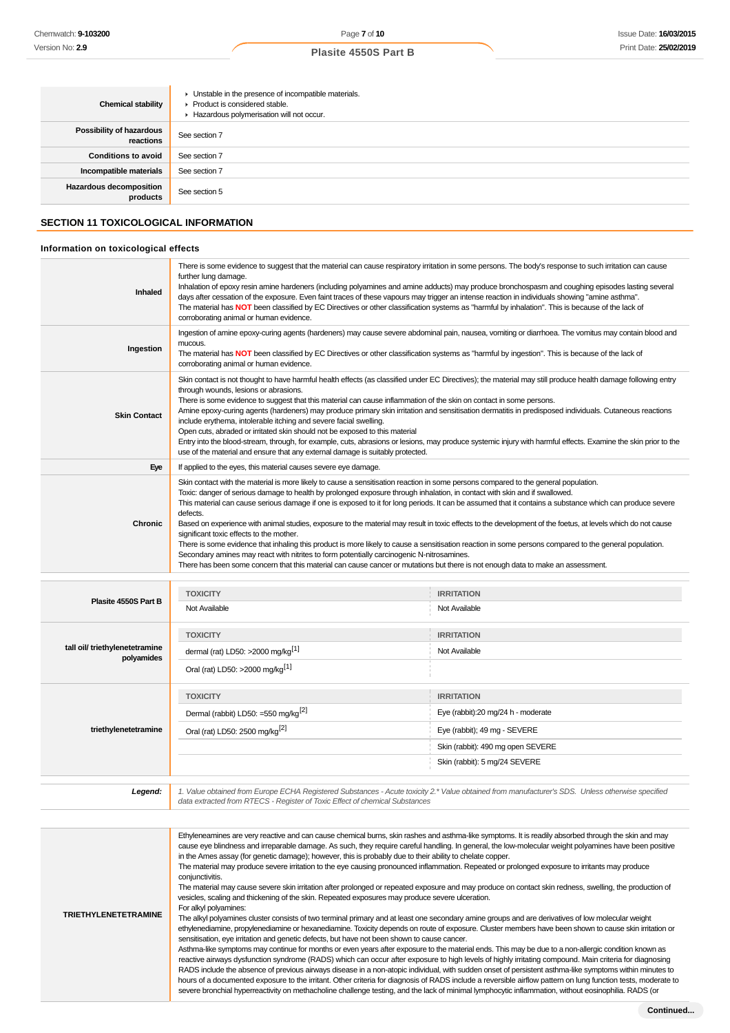| <b>Chemical stability</b>                                                           | • Unstable in the presence of incompatible materials.<br>Product is considered stable.<br>Hazardous polymerisation will not occur.                                                                                                                                                                                                                                                                                                                                                                                                                                                                                                                                                                                                                                                                                                                                                             |
|-------------------------------------------------------------------------------------|------------------------------------------------------------------------------------------------------------------------------------------------------------------------------------------------------------------------------------------------------------------------------------------------------------------------------------------------------------------------------------------------------------------------------------------------------------------------------------------------------------------------------------------------------------------------------------------------------------------------------------------------------------------------------------------------------------------------------------------------------------------------------------------------------------------------------------------------------------------------------------------------|
| Possibility of hazardous<br>reactions                                               | See section 7                                                                                                                                                                                                                                                                                                                                                                                                                                                                                                                                                                                                                                                                                                                                                                                                                                                                                  |
| <b>Conditions to avoid</b>                                                          | See section 7                                                                                                                                                                                                                                                                                                                                                                                                                                                                                                                                                                                                                                                                                                                                                                                                                                                                                  |
| Incompatible materials                                                              | See section 7                                                                                                                                                                                                                                                                                                                                                                                                                                                                                                                                                                                                                                                                                                                                                                                                                                                                                  |
| Hazardous decomposition<br>products                                                 | See section 5                                                                                                                                                                                                                                                                                                                                                                                                                                                                                                                                                                                                                                                                                                                                                                                                                                                                                  |
| <b>SECTION 11 TOXICOLOGICAL INFORMATION</b><br>Information on toxicological effects |                                                                                                                                                                                                                                                                                                                                                                                                                                                                                                                                                                                                                                                                                                                                                                                                                                                                                                |
|                                                                                     |                                                                                                                                                                                                                                                                                                                                                                                                                                                                                                                                                                                                                                                                                                                                                                                                                                                                                                |
| Inhaled                                                                             | There is some evidence to suggest that the material can cause respiratory irritation in some persons. The body's response to such irritation can cause<br>further lung damage.<br>Inhalation of epoxy resin amine hardeners (including polyamines and amine adducts) may produce bronchospasm and coughing episodes lasting several<br>days after cessation of the exposure. Even faint traces of these vapours may trigger an intense reaction in individuals showing "amine asthma".<br>The material has NOT been classified by EC Directives or other classification systems as "harmful by inhalation". This is because of the lack of<br>corroborating animal or human evidence.                                                                                                                                                                                                          |
| Ingestion                                                                           | Ingestion of amine epoxy-curing agents (hardeners) may cause severe abdominal pain, nausea, vomiting or diarrhoea. The vomitus may contain blood and<br>mucous.<br>The material has NOT been classified by EC Directives or other classification systems as "harmful by ingestion". This is because of the lack of<br>corroborating animal or human evidence.                                                                                                                                                                                                                                                                                                                                                                                                                                                                                                                                  |
| <b>Skin Contact</b>                                                                 | Skin contact is not thought to have harmful health effects (as classified under EC Directives); the material may still produce health damage following entry<br>through wounds, lesions or abrasions.<br>There is some evidence to suggest that this material can cause inflammation of the skin on contact in some persons.<br>Amine epoxy-curing agents (hardeners) may produce primary skin irritation and sensitisation dermatitis in predisposed individuals. Cutaneous reactions<br>include erythema, intolerable itching and severe facial swelling.<br>Open cuts, abraded or irritated skin should not be exposed to this material<br>Entry into the blood-stream, through, for example, cuts, abrasions or lesions, may produce systemic injury with harmful effects. Examine the skin prior to the<br>use of the material and ensure that any external damage is suitably protected. |
| Eye                                                                                 | If applied to the eyes, this material causes severe eye damage.                                                                                                                                                                                                                                                                                                                                                                                                                                                                                                                                                                                                                                                                                                                                                                                                                                |
|                                                                                     | Skin contact with the material is more likely to cause a sensitisation reaction in some persons compared to the general population.<br>Toxic: danger of serious damage to health by prolonged exposure through inhalation, in contact with skin and if swallowed.<br>This material can cause serious damage if one is exposed to it for long periods. It can be assumed that it contains a substance which can produce severe<br>defects.                                                                                                                                                                                                                                                                                                                                                                                                                                                      |

**Chronic** Based on experience with animal studies, exposure to the material may result in toxic effects to the development of the foetus, at levels which do not cause significant toxic effects to the mother.

There is some evidence that inhaling this product is more likely to cause a sensitisation reaction in some persons compared to the general population. Secondary amines may react with nitrites to form potentially carcinogenic N-nitrosamines.

|  | There has been some concern that this material can cause cancer or mutations but there is not enough data to make an assessment. |
|--|----------------------------------------------------------------------------------------------------------------------------------|
|--|----------------------------------------------------------------------------------------------------------------------------------|

| Plasite 4550S Part B                         | <b>TOXICITY</b><br>Not Available                                                                                  | <b>IRRITATION</b><br>Not Available                                                                                                                            |
|----------------------------------------------|-------------------------------------------------------------------------------------------------------------------|---------------------------------------------------------------------------------------------------------------------------------------------------------------|
| tall oil/ triethylenetetramine<br>polyamides | <b>TOXICITY</b><br>dermal (rat) LD50: $>2000$ mg/kg <sup>[1]</sup><br>Oral (rat) LD50: >2000 mg/kg <sup>[1]</sup> | <b>IRRITATION</b><br>Not Available                                                                                                                            |
| triethylenetetramine                         | <b>TOXICITY</b><br>Dermal (rabbit) LD50: =550 mg/kg <sup>[2]</sup><br>Oral (rat) LD50: 2500 mg/kg <sup>[2]</sup>  | <b>IRRITATION</b><br>Eye (rabbit):20 mg/24 h - moderate<br>Eye (rabbit); 49 mg - SEVERE<br>Skin (rabbit): 490 mg open SEVERE<br>Skin (rabbit): 5 mg/24 SEVERE |

| Legend:                     | 1. Value obtained from Europe ECHA Registered Substances - Acute toxicity 2.* Value obtained from manufacturer's SDS. Unless otherwise specified<br>data extracted from RTECS - Register of Toxic Effect of chemical Substances                                                                                                                                                                                                                                                                                                                                                                                                                                                                                                                                                                                                                                                                                                                                                                                                                                                                                                                                                                                                                                                                                                                                                                                                                                                                                                                                                                                                                                                                                                                                                                                                                                                                                                                                                                                                                                                                             |
|-----------------------------|-------------------------------------------------------------------------------------------------------------------------------------------------------------------------------------------------------------------------------------------------------------------------------------------------------------------------------------------------------------------------------------------------------------------------------------------------------------------------------------------------------------------------------------------------------------------------------------------------------------------------------------------------------------------------------------------------------------------------------------------------------------------------------------------------------------------------------------------------------------------------------------------------------------------------------------------------------------------------------------------------------------------------------------------------------------------------------------------------------------------------------------------------------------------------------------------------------------------------------------------------------------------------------------------------------------------------------------------------------------------------------------------------------------------------------------------------------------------------------------------------------------------------------------------------------------------------------------------------------------------------------------------------------------------------------------------------------------------------------------------------------------------------------------------------------------------------------------------------------------------------------------------------------------------------------------------------------------------------------------------------------------------------------------------------------------------------------------------------------------|
|                             |                                                                                                                                                                                                                                                                                                                                                                                                                                                                                                                                                                                                                                                                                                                                                                                                                                                                                                                                                                                                                                                                                                                                                                                                                                                                                                                                                                                                                                                                                                                                                                                                                                                                                                                                                                                                                                                                                                                                                                                                                                                                                                             |
| <b>TRIETHYLENETETRAMINE</b> | Ethyleneamines are very reactive and can cause chemical burns, skin rashes and asthma-like symptoms. It is readily absorbed through the skin and may<br>cause eye blindness and irreparable damage. As such, they require careful handling. In general, the low-molecular weight polyamines have been positive<br>in the Ames assay (for genetic damage); however, this is probably due to their ability to chelate copper.<br>The material may produce severe irritation to the eye causing pronounced inflammation. Repeated or prolonged exposure to irritants may produce<br>conjunctivitis.<br>The material may cause severe skin irritation after prolonged or repeated exposure and may produce on contact skin redness, swelling, the production of<br>vesicles, scaling and thickening of the skin. Repeated exposures may produce severe ulceration.<br>For alkyl polyamines:<br>The alkyl polyamines cluster consists of two terminal primary and at least one secondary amine groups and are derivatives of low molecular weight<br>ethylenediamine, propylenediamine or hexanediamine. Toxicity depends on route of exposure. Cluster members have been shown to cause skin irritation or<br>sensitisation, eye irritation and genetic defects, but have not been shown to cause cancer.<br>Asthma-like symptoms may continue for months or even years after exposure to the material ends. This may be due to a non-allergic condition known as<br>reactive airways dysfunction syndrome (RADS) which can occur after exposure to high levels of highly irritating compound. Main criteria for diagnosing<br>RADS include the absence of previous airways disease in a non-atopic individual, with sudden onset of persistent asthma-like symptoms within minutes to<br>hours of a documented exposure to the irritant. Other criteria for diagnosis of RADS include a reversible airflow pattern on lung function tests, moderate to<br>severe bronchial hyperreactivity on methacholine challenge testing, and the lack of minimal lymphocytic inflammation, without eosinophilia. RADS (or |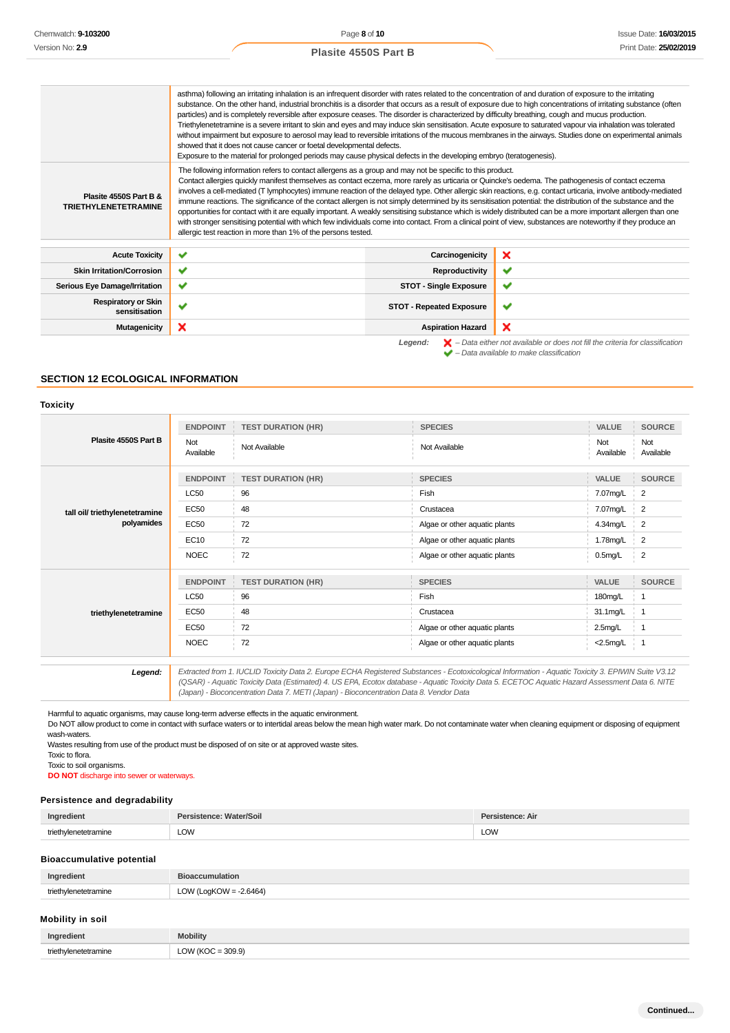| Chemwatch: <b>9-103200</b>                                                                                                                       |                             | Page 8 of 10                                                                                                                                                                                                                                                                                                                                                                                                                                                                                                                                                                                                                                                                                                                                                                                                                                                                                                                                                                                                                                                                                                                |                                 |                                                                                                                                                                     |                       | Issue Date: 16/03/201 |
|--------------------------------------------------------------------------------------------------------------------------------------------------|-----------------------------|-----------------------------------------------------------------------------------------------------------------------------------------------------------------------------------------------------------------------------------------------------------------------------------------------------------------------------------------------------------------------------------------------------------------------------------------------------------------------------------------------------------------------------------------------------------------------------------------------------------------------------------------------------------------------------------------------------------------------------------------------------------------------------------------------------------------------------------------------------------------------------------------------------------------------------------------------------------------------------------------------------------------------------------------------------------------------------------------------------------------------------|---------------------------------|---------------------------------------------------------------------------------------------------------------------------------------------------------------------|-----------------------|-----------------------|
| Version No: 2.9                                                                                                                                  | <b>Plasite 4550S Part B</b> |                                                                                                                                                                                                                                                                                                                                                                                                                                                                                                                                                                                                                                                                                                                                                                                                                                                                                                                                                                                                                                                                                                                             |                                 |                                                                                                                                                                     | Print Date: 25/02/201 |                       |
|                                                                                                                                                  |                             | asthma) following an irritating inhalation is an infrequent disorder with rates related to the concentration of and duration of exposure to the irritating<br>substance. On the other hand, industrial bronchitis is a disorder that occurs as a result of exposure due to high concentrations of irritating substance (often<br>particles) and is completely reversible after exposure ceases. The disorder is characterized by difficulty breathing, cough and mucus production.<br>Triethylenetetramine is a severe irritant to skin and eyes and may induce skin sensitisation. Acute exposure to saturated vapour via inhalation was tolerated<br>without impairment but exposure to aerosol may lead to reversible irritations of the mucous membranes in the airways. Studies done on experimental animals<br>showed that it does not cause cancer or foetal developmental defects.                                                                                                                                                                                                                                  |                                 |                                                                                                                                                                     |                       |                       |
| Plasite 4550S Part B &<br><b>TRIETHYLENETETRAMINE</b>                                                                                            |                             | Exposure to the material for prolonged periods may cause physical defects in the developing embryo (teratogenesis).<br>The following information refers to contact allergens as a group and may not be specific to this product.<br>Contact allergies quickly manifest themselves as contact eczema, more rarely as urticaria or Quincke's oedema. The pathogenesis of contact eczema<br>involves a cell-mediated (T lymphocytes) immune reaction of the delayed type. Other allergic skin reactions, e.g. contact urticaria, involve antibody-mediated<br>immune reactions. The significance of the contact allergen is not simply determined by its sensitisation potential: the distribution of the substance and the<br>opportunities for contact with it are equally important. A weakly sensitising substance which is widely distributed can be a more important allergen than one<br>with stronger sensitising potential with which few individuals come into contact. From a clinical point of view, substances are noteworthy if they produce an<br>allergic test reaction in more than 1% of the persons tested. |                                 |                                                                                                                                                                     |                       |                       |
| <b>Acute Toxicity</b>                                                                                                                            | ✔                           |                                                                                                                                                                                                                                                                                                                                                                                                                                                                                                                                                                                                                                                                                                                                                                                                                                                                                                                                                                                                                                                                                                                             | Carcinogenicity                 | ×                                                                                                                                                                   |                       |                       |
| <b>Skin Irritation/Corrosion</b>                                                                                                                 | ✔                           |                                                                                                                                                                                                                                                                                                                                                                                                                                                                                                                                                                                                                                                                                                                                                                                                                                                                                                                                                                                                                                                                                                                             | Reproductivity                  | ✔                                                                                                                                                                   |                       |                       |
| <b>Serious Eye Damage/Irritation</b>                                                                                                             | ✔                           |                                                                                                                                                                                                                                                                                                                                                                                                                                                                                                                                                                                                                                                                                                                                                                                                                                                                                                                                                                                                                                                                                                                             | <b>STOT - Single Exposure</b>   | ✔                                                                                                                                                                   |                       |                       |
| <b>Respiratory or Skin</b><br>sensitisation                                                                                                      | ✔                           |                                                                                                                                                                                                                                                                                                                                                                                                                                                                                                                                                                                                                                                                                                                                                                                                                                                                                                                                                                                                                                                                                                                             | <b>STOT - Repeated Exposure</b> | ✔                                                                                                                                                                   |                       |                       |
| <b>Mutagenicity</b>                                                                                                                              | ×                           |                                                                                                                                                                                                                                                                                                                                                                                                                                                                                                                                                                                                                                                                                                                                                                                                                                                                                                                                                                                                                                                                                                                             | <b>Aspiration Hazard</b>        | ×                                                                                                                                                                   |                       |                       |
| <b>SECTION 12 ECOLOGICAL INFORMATION</b><br><b>Toxicity</b>                                                                                      |                             |                                                                                                                                                                                                                                                                                                                                                                                                                                                                                                                                                                                                                                                                                                                                                                                                                                                                                                                                                                                                                                                                                                                             | Legend:                         | $\blacktriangleright$ - Data either not available or does not fill the criteria for classification<br>$\blacktriangleright$ - Data available to make classification |                       |                       |
|                                                                                                                                                  |                             |                                                                                                                                                                                                                                                                                                                                                                                                                                                                                                                                                                                                                                                                                                                                                                                                                                                                                                                                                                                                                                                                                                                             |                                 |                                                                                                                                                                     |                       |                       |
|                                                                                                                                                  | <b>ENDPOINT</b>             | <b>TEST DURATION (HR)</b>                                                                                                                                                                                                                                                                                                                                                                                                                                                                                                                                                                                                                                                                                                                                                                                                                                                                                                                                                                                                                                                                                                   | <b>SPECIES</b>                  |                                                                                                                                                                     | VALUE                 | <b>SOURCE</b>         |
| Plasite 4550S Part B                                                                                                                             | Not<br>Available            | Not Available                                                                                                                                                                                                                                                                                                                                                                                                                                                                                                                                                                                                                                                                                                                                                                                                                                                                                                                                                                                                                                                                                                               | Not Available                   |                                                                                                                                                                     | Not<br>Available      | Not<br>Available      |
|                                                                                                                                                  | <b>ENDPOINT</b>             | <b>TEST DURATION (HR)</b>                                                                                                                                                                                                                                                                                                                                                                                                                                                                                                                                                                                                                                                                                                                                                                                                                                                                                                                                                                                                                                                                                                   | <b>SPECIES</b>                  |                                                                                                                                                                     | VALUE                 | <b>SOURCE</b>         |
|                                                                                                                                                  | <b>LC50</b>                 | 96                                                                                                                                                                                                                                                                                                                                                                                                                                                                                                                                                                                                                                                                                                                                                                                                                                                                                                                                                                                                                                                                                                                          | Fish                            |                                                                                                                                                                     | 7.07mg/L              | $\overline{2}$        |
| tall oil/ triethylenetetramine                                                                                                                   | <b>EC50</b>                 | 48                                                                                                                                                                                                                                                                                                                                                                                                                                                                                                                                                                                                                                                                                                                                                                                                                                                                                                                                                                                                                                                                                                                          | Crustacea                       |                                                                                                                                                                     | 7.07mg/L              | 2                     |
| polyamides                                                                                                                                       | <b>EC50</b>                 | 72                                                                                                                                                                                                                                                                                                                                                                                                                                                                                                                                                                                                                                                                                                                                                                                                                                                                                                                                                                                                                                                                                                                          | Algae or other aquatic plants   |                                                                                                                                                                     | 4.34mg/L              | $\overline{2}$        |
|                                                                                                                                                  | EC10                        | 72                                                                                                                                                                                                                                                                                                                                                                                                                                                                                                                                                                                                                                                                                                                                                                                                                                                                                                                                                                                                                                                                                                                          | Algae or other aquatic plants   |                                                                                                                                                                     | 1.78mg/L              | 2                     |
|                                                                                                                                                  | <b>NOEC</b>                 | 72                                                                                                                                                                                                                                                                                                                                                                                                                                                                                                                                                                                                                                                                                                                                                                                                                                                                                                                                                                                                                                                                                                                          | Algae or other aquatic plants   |                                                                                                                                                                     | $0.5$ mg/L            | $\overline{2}$        |
|                                                                                                                                                  |                             | ENDPOINT TEST DURATION (HR)                                                                                                                                                                                                                                                                                                                                                                                                                                                                                                                                                                                                                                                                                                                                                                                                                                                                                                                                                                                                                                                                                                 | <b>SPECIES</b>                  |                                                                                                                                                                     | VALUE SOURCE          |                       |
|                                                                                                                                                  | <b>LC50</b>                 | 96                                                                                                                                                                                                                                                                                                                                                                                                                                                                                                                                                                                                                                                                                                                                                                                                                                                                                                                                                                                                                                                                                                                          | Fish                            |                                                                                                                                                                     | 180mg/L               | 1                     |
| triethylenetetramine                                                                                                                             | EC50                        | 48                                                                                                                                                                                                                                                                                                                                                                                                                                                                                                                                                                                                                                                                                                                                                                                                                                                                                                                                                                                                                                                                                                                          | Crustacea                       |                                                                                                                                                                     | 31.1mg/L              | 1                     |
|                                                                                                                                                  | <b>EC50</b>                 | 72                                                                                                                                                                                                                                                                                                                                                                                                                                                                                                                                                                                                                                                                                                                                                                                                                                                                                                                                                                                                                                                                                                                          | Algae or other aquatic plants   |                                                                                                                                                                     | 2.5 <sub>m</sub> g/L  | $\overline{1}$        |
|                                                                                                                                                  | <b>NOEC</b>                 | 72<br>Algae or other aquatic plants                                                                                                                                                                                                                                                                                                                                                                                                                                                                                                                                                                                                                                                                                                                                                                                                                                                                                                                                                                                                                                                                                         |                                 |                                                                                                                                                                     | <2.5mg/L              | $\overline{1}$        |
| Legend:                                                                                                                                          |                             | Extracted from 1. IUCLID Toxicity Data 2. Europe ECHA Registered Substances - Ecotoxicological Information - Aquatic Toxicity 3. EPIWIN Suite V3.12<br>(QSAR) - Aquatic Toxicity Data (Estimated) 4. US EPA, Ecotox database - Aquatic Toxicity Data 5. ECETOC Aquatic Hazard Assessment Data 6. NITE<br>(Japan) - Bioconcentration Data 7. METI (Japan) - Bioconcentration Data 8. Vendor Data                                                                                                                                                                                                                                                                                                                                                                                                                                                                                                                                                                                                                                                                                                                             |                                 |                                                                                                                                                                     |                       |                       |
| wash-waters.<br>Toxic to flora.<br>Toxic to soil organisms.<br><b>DO NOT</b> discharge into sewer or waterways.<br>Persistence and degradability |                             | Harmful to aquatic organisms, may cause long-term adverse effects in the aquatic environment.<br>Do NOT allow product to come in contact with surface waters or to intertidal areas below the mean high water mark. Do not contaminate water when cleaning equipment or disposing of equipment<br>Wastes resulting from use of the product must be disposed of on site or at approved waste sites.                                                                                                                                                                                                                                                                                                                                                                                                                                                                                                                                                                                                                                                                                                                          |                                 |                                                                                                                                                                     |                       |                       |
| Ingredient                                                                                                                                       | Persistence: Water/Soil     |                                                                                                                                                                                                                                                                                                                                                                                                                                                                                                                                                                                                                                                                                                                                                                                                                                                                                                                                                                                                                                                                                                                             |                                 | Persistence: Air                                                                                                                                                    |                       |                       |
| triethylenetetramine                                                                                                                             | <b>LOW</b>                  |                                                                                                                                                                                                                                                                                                                                                                                                                                                                                                                                                                                                                                                                                                                                                                                                                                                                                                                                                                                                                                                                                                                             |                                 | LOW                                                                                                                                                                 |                       |                       |
| <b>Bioaccumulative potential</b>                                                                                                                 |                             |                                                                                                                                                                                                                                                                                                                                                                                                                                                                                                                                                                                                                                                                                                                                                                                                                                                                                                                                                                                                                                                                                                                             |                                 |                                                                                                                                                                     |                       |                       |
| Ingredient                                                                                                                                       | <b>Bioaccumulation</b>      |                                                                                                                                                                                                                                                                                                                                                                                                                                                                                                                                                                                                                                                                                                                                                                                                                                                                                                                                                                                                                                                                                                                             |                                 |                                                                                                                                                                     |                       |                       |
| triethylenetetramine                                                                                                                             | LOW (LogKOW = $-2.6464$ )   |                                                                                                                                                                                                                                                                                                                                                                                                                                                                                                                                                                                                                                                                                                                                                                                                                                                                                                                                                                                                                                                                                                                             |                                 |                                                                                                                                                                     |                       |                       |
| Mobility in soil                                                                                                                                 |                             |                                                                                                                                                                                                                                                                                                                                                                                                                                                                                                                                                                                                                                                                                                                                                                                                                                                                                                                                                                                                                                                                                                                             |                                 |                                                                                                                                                                     |                       |                       |
| Ingredient                                                                                                                                       | <b>Mobility</b>             |                                                                                                                                                                                                                                                                                                                                                                                                                                                                                                                                                                                                                                                                                                                                                                                                                                                                                                                                                                                                                                                                                                                             |                                 |                                                                                                                                                                     |                       |                       |
| triethylenetetramine                                                                                                                             | LOW ( $KOC = 309.9$ )       |                                                                                                                                                                                                                                                                                                                                                                                                                                                                                                                                                                                                                                                                                                                                                                                                                                                                                                                                                                                                                                                                                                                             |                                 |                                                                                                                                                                     |                       |                       |

#### **SECTION 12 ECOLOGICAL INFORMATION**

#### **Toxicity**

| Plasite 4550S Part B           | <b>ENDPOINT</b>  | <b>TEST DURATION (HR)</b> | <b>SPECIES</b>                | VALUE            | <b>SOURCE</b>           |
|--------------------------------|------------------|---------------------------|-------------------------------|------------------|-------------------------|
|                                | Not<br>Available | Not Available             | Not Available                 | Not<br>Available | <b>Not</b><br>Available |
|                                | <b>ENDPOINT</b>  | <b>TEST DURATION (HR)</b> | <b>SPECIES</b>                | VALUE            | <b>SOURCE</b>           |
|                                | <b>LC50</b>      | 96                        | Fish                          | 7.07mg/L         | 2                       |
| tall oil/ triethylenetetramine | <b>EC50</b>      | 48                        | Crustacea                     | 7.07mg/L         | $\overline{2}$          |
| polyamides                     | <b>EC50</b>      | 72                        | Algae or other aquatic plants | 4.34mg/L         | 2                       |
|                                | EC10             | 72                        | Algae or other aquatic plants | 1.78mg/L         | $\overline{2}$          |
|                                | <b>NOEC</b>      | 72                        | Algae or other aquatic plants | $0.5$ mg/L       | $\overline{2}$          |
|                                | <b>ENDPOINT</b>  | <b>TEST DURATION (HR)</b> | <b>SPECIES</b>                | VALUE            | <b>SOURCE</b>           |
|                                | <b>LC50</b>      | 96                        | Fish                          | 180mg/L          |                         |
| triethylenetetramine           | <b>EC50</b>      | 48                        | Crustacea                     | 31.1mg/L         | $\mathbf{1}$            |
|                                | <b>EC50</b>      | 72                        | Algae or other aquatic plants | $2.5$ mg/L       | $\mathbf 1$             |
|                                | <b>NOEC</b>      | 72                        | Algae or other aquatic plants | $<$ 2.5mg/L      | $\overline{1}$          |
|                                |                  |                           |                               |                  |                         |

#### **Persistence and degradability**

| Ingredient | Vater/Soil | л.  |
|------------|------------|-----|
| $+ri$ n+   |            |     |
|            | LOW        | LOW |

#### **Bioaccumulative potential**

| Ingredient |                        |
|------------|------------------------|
| trioth     | .2 RARA<br>$\sim$<br>ີ |

### **Mobility in soil**

| Ingredient     | <b>Mobility</b> |
|----------------|-----------------|
| triothwa       | $-309.9$        |
| /lenetetramıne | OW (KOC         |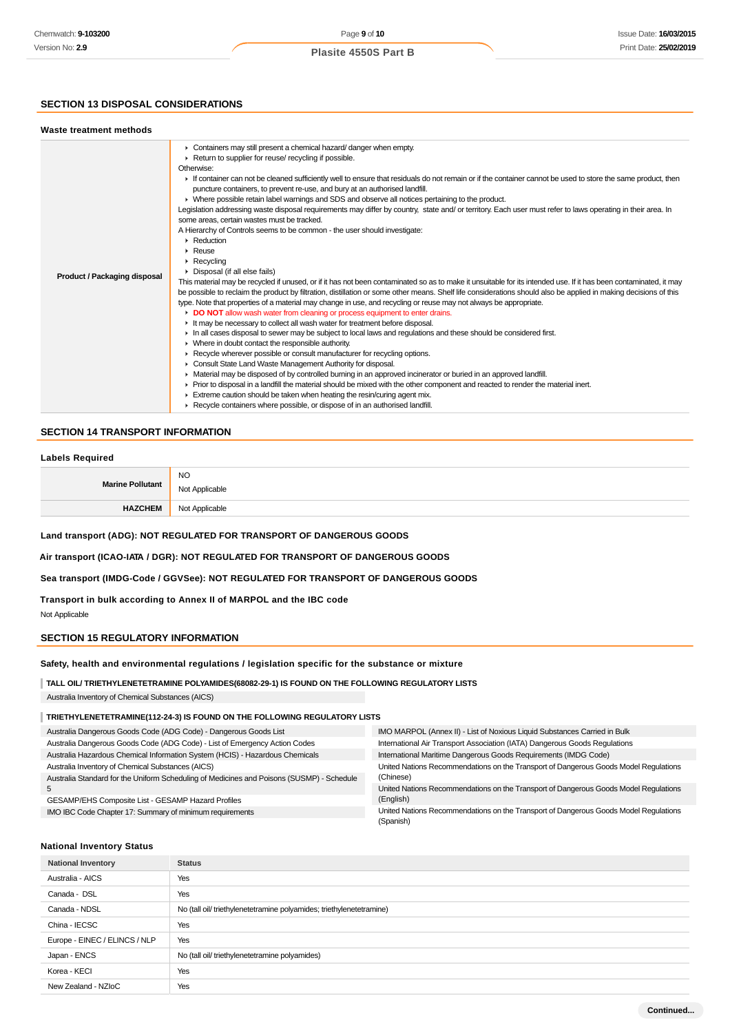### **SECTION 13 DISPOSAL CONSIDERATIONS**

#### **Waste treatment methods**

| <b>Product / Packaging disposal</b> | • Containers may still present a chemical hazard/danger when empty.<br>Return to supplier for reuse/ recycling if possible.<br>Otherwise:<br>If container can not be cleaned sufficiently well to ensure that residuals do not remain or if the container cannot be used to store the same product, then<br>puncture containers, to prevent re-use, and bury at an authorised landfill.<br>• Where possible retain label warnings and SDS and observe all notices pertaining to the product.<br>Legislation addressing waste disposal requirements may differ by country, state and/ or territory. Each user must refer to laws operating in their area. In<br>some areas, certain wastes must be tracked.<br>A Hierarchy of Controls seems to be common - the user should investigate:<br>• Reduction<br>$\triangleright$ Reuse<br>$\triangleright$ Recycling<br>• Disposal (if all else fails)<br>This material may be recycled if unused, or if it has not been contaminated so as to make it unsuitable for its intended use. If it has been contaminated, it may<br>be possible to reclaim the product by filtration, distillation or some other means. Shelf life considerations should also be applied in making decisions of this<br>type. Note that properties of a material may change in use, and recycling or reuse may not always be appropriate.<br>DO NOT allow wash water from cleaning or process equipment to enter drains.<br>It may be necessary to collect all wash water for treatment before disposal.<br>In all cases disposal to sewer may be subject to local laws and regulations and these should be considered first.<br>• Where in doubt contact the responsible authority. |
|-------------------------------------|-----------------------------------------------------------------------------------------------------------------------------------------------------------------------------------------------------------------------------------------------------------------------------------------------------------------------------------------------------------------------------------------------------------------------------------------------------------------------------------------------------------------------------------------------------------------------------------------------------------------------------------------------------------------------------------------------------------------------------------------------------------------------------------------------------------------------------------------------------------------------------------------------------------------------------------------------------------------------------------------------------------------------------------------------------------------------------------------------------------------------------------------------------------------------------------------------------------------------------------------------------------------------------------------------------------------------------------------------------------------------------------------------------------------------------------------------------------------------------------------------------------------------------------------------------------------------------------------------------------------------------------------------------------------------------------------------------------|
|                                     | ▶ Recycle wherever possible or consult manufacturer for recycling options.<br>Consult State Land Waste Management Authority for disposal.<br>• Material may be disposed of by controlled burning in an approved incinerator or buried in an approved landfill.<br>► Prior to disposal in a landfill the material should be mixed with the other component and reacted to render the material inert.<br>Extreme caution should be taken when heating the resin/curing agent mix.<br>▶ Recycle containers where possible, or dispose of in an authorised landfill.                                                                                                                                                                                                                                                                                                                                                                                                                                                                                                                                                                                                                                                                                                                                                                                                                                                                                                                                                                                                                                                                                                                                          |

# **SECTION 14 TRANSPORT INFORMATION**

#### **Labels Required**

| <b>Marine Pollutant</b> | <b>NO</b>      |
|-------------------------|----------------|
|                         | Not Applicable |
| <b>HAZCHEM</b>          | Not Applicable |

# **Land transport (ADG): NOT REGULATED FOR TRANSPORT OF DANGEROUS GOODS**

# **Air transport (ICAO-IATA / DGR): NOT REGULATED FOR TRANSPORT OF DANGEROUS GOODS**

#### **Sea transport (IMDG-Code / GGVSee): NOT REGULATED FOR TRANSPORT OF DANGEROUS GOODS**

### **Transport in bulk according to Annex II of MARPOL and the IBC code**

Not Applicable

### **SECTION 15 REGULATORY INFORMATION**

#### **Safety, health and environmental regulations / legislation specific for the substance or mixture**

**TALL OIL/ TRIETHYLENETETRAMINE POLYAMIDES(68082-29-1) IS FOUND ON THE FOLLOWING REGULATORY LISTS**

Australia Inventory of Chemical Substances (AICS)

# **TRIETHYLENETETRAMINE(112-24-3) IS FOUND ON THE FOLLOWING REGULATORY LISTS**

| Australia Dangerous Goods Code (ADG Code) - Dangerous Goods List                          | IMO MARPOL (Annex II) - List of Noxious Liquid Substances Carried in Bulk            |
|-------------------------------------------------------------------------------------------|--------------------------------------------------------------------------------------|
| Australia Dangerous Goods Code (ADG Code) - List of Emergency Action Codes                | International Air Transport Association (IATA) Dangerous Goods Regulations           |
| Australia Hazardous Chemical Information System (HCIS) - Hazardous Chemicals              | International Maritime Dangerous Goods Requirements (IMDG Code)                      |
| Australia Inventory of Chemical Substances (AICS)                                         | United Nations Recommendations on the Transport of Dangerous Goods Model Regulations |
| Australia Standard for the Uniform Scheduling of Medicines and Poisons (SUSMP) - Schedule | (Chinese)                                                                            |
|                                                                                           | United Nations Recommendations on the Transport of Dangerous Goods Model Regulations |
| GESAMP/EHS Composite List - GESAMP Hazard Profiles                                        | (English)                                                                            |
| IMO IBC Code Chapter 17: Summary of minimum requirements                                  | United Nations Recommendations on the Transport of Dangerous Goods Model Regulations |
|                                                                                           | (Spanish)                                                                            |

#### **National Inventory Status**

| <b>National Inventory</b>     | <b>Status</b>                                                        |
|-------------------------------|----------------------------------------------------------------------|
| Australia - AICS              | Yes                                                                  |
| Canada - DSL                  | Yes                                                                  |
| Canada - NDSL                 | No (tall oil/ triethylenetetramine polyamides; triethylenetetramine) |
| China - IECSC                 | Yes                                                                  |
| Europe - EINEC / ELINCS / NLP | Yes                                                                  |
| Japan - ENCS                  | No (tall oil/ triethylenetetramine polyamides)                       |
| Korea - KECI                  | Yes                                                                  |
| New Zealand - NZIoC           | Yes                                                                  |